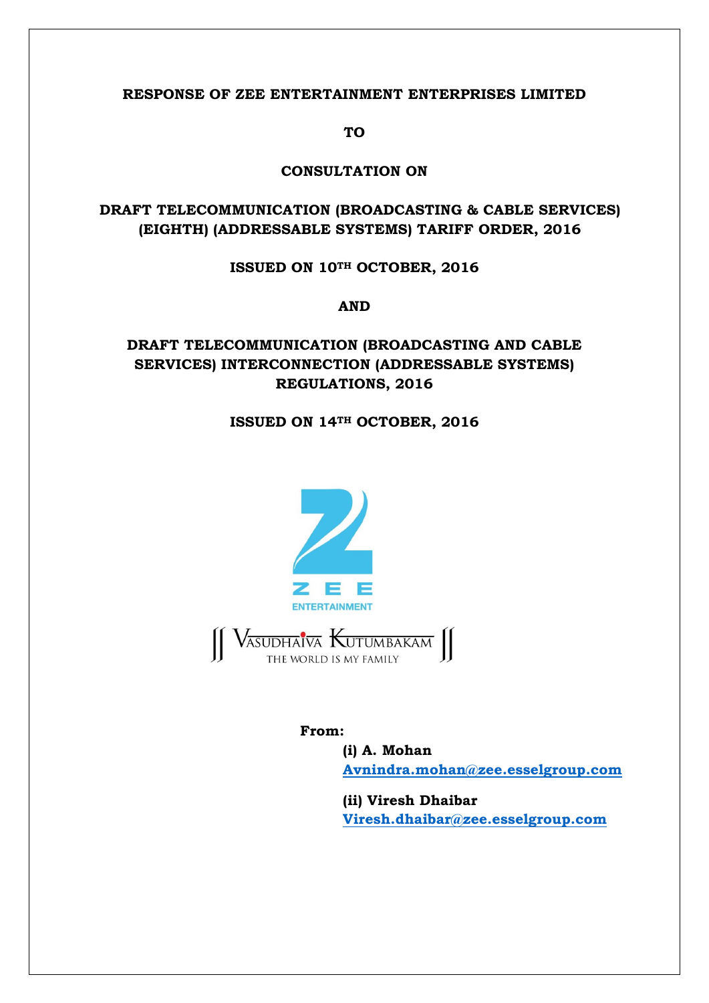#### **RESPONSE OF ZEE ENTERTAINMENT ENTERPRISES LIMITED**

**TO**

#### **CONSULTATION ON**

## **DRAFT TELECOMMUNICATION (BROADCASTING & CABLE SERVICES) (EIGHTH) (ADDRESSABLE SYSTEMS) TARIFF ORDER, 2016**

#### **ISSUED ON 10TH OCTOBER, 2016**

**AND**

# **DRAFT TELECOMMUNICATION (BROADCASTING AND CABLE SERVICES) INTERCONNECTION (ADDRESSABLE SYSTEMS) REGULATIONS, 2016**

### **ISSUED ON 14TH OCTOBER, 2016**



### **From:**

**(i) A. Mohan Avnindra.mohan@zee.esselgroup.com**

**(ii) Viresh Dhaibar Viresh.dhaibar@zee.esselgroup.com**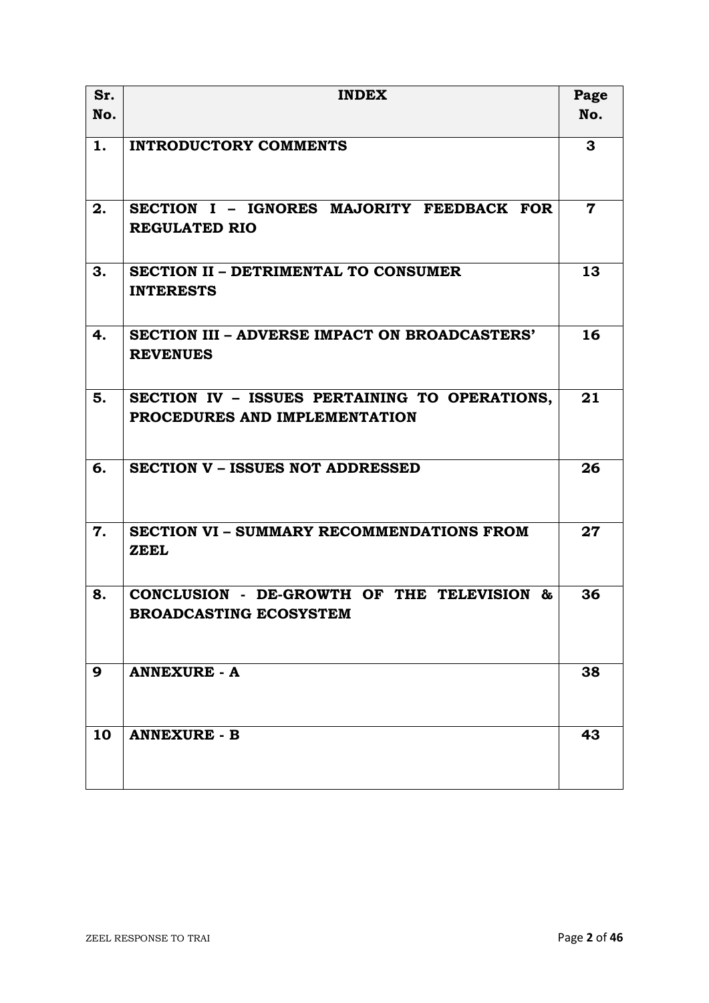| Sr. | <b>INDEX</b>                                                                   | Page                    |
|-----|--------------------------------------------------------------------------------|-------------------------|
| No. |                                                                                | No.                     |
| 1.  | <b>INTRODUCTORY COMMENTS</b>                                                   | 3                       |
| 2.  | SECTION I - IGNORES MAJORITY FEEDBACK FOR<br><b>REGULATED RIO</b>              | $\overline{\mathbf{7}}$ |
| 3.  | <b>SECTION II - DETRIMENTAL TO CONSUMER</b><br><b>INTERESTS</b>                | 13                      |
| 4.  | SECTION III - ADVERSE IMPACT ON BROADCASTERS'<br><b>REVENUES</b>               | 16                      |
| 5.  | SECTION IV - ISSUES PERTAINING TO OPERATIONS,<br>PROCEDURES AND IMPLEMENTATION | 21                      |
| 6.  | <b>SECTION V - ISSUES NOT ADDRESSED</b>                                        | 26                      |
| 7.  | <b>SECTION VI - SUMMARY RECOMMENDATIONS FROM</b><br><b>ZEEL</b>                | 27                      |
| 8.  | CONCLUSION - DE-GROWTH OF THE TELEVISION<br>&<br><b>BROADCASTING ECOSYSTEM</b> | 36                      |
| 9   | <b>ANNEXURE - A</b>                                                            | 38                      |
| 10  | <b>ANNEXURE - B</b>                                                            | 43                      |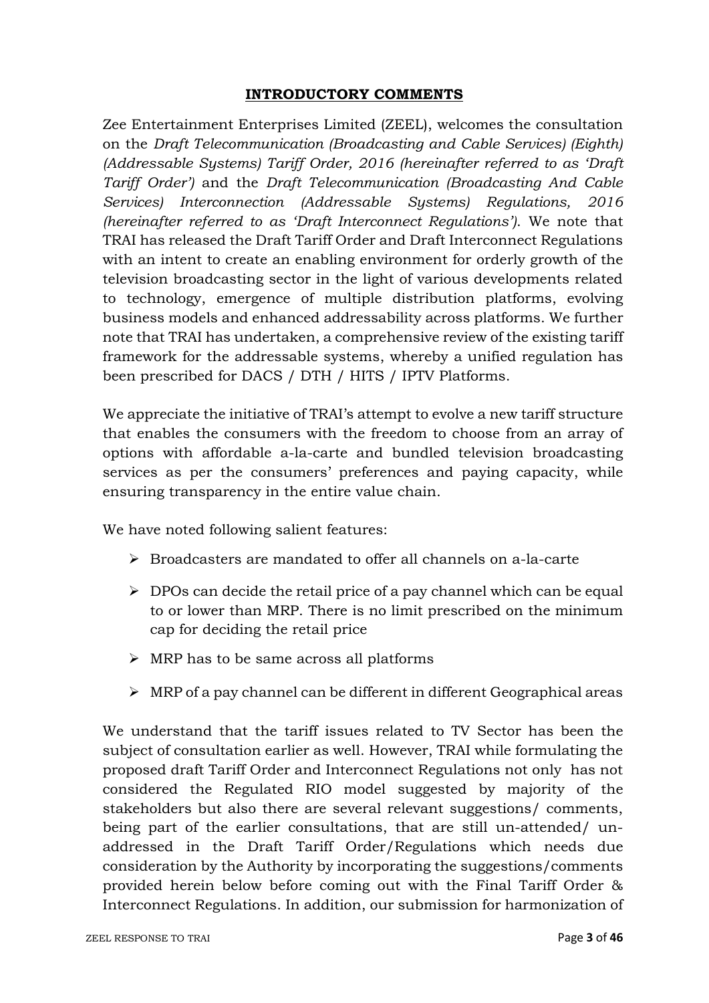### **INTRODUCTORY COMMENTS**

Zee Entertainment Enterprises Limited (ZEEL), welcomes the consultation on the *Draft Telecommunication (Broadcasting and Cable Services) (Eighth) (Addressable Systems) Tariff Order, 2016 (hereinafter referred to as 'Draft Tariff Order')* and the *Draft Telecommunication (Broadcasting And Cable Services) Interconnection (Addressable Systems) Regulations, 2016 (hereinafter referred to as 'Draft Interconnect Regulations')*. We note that TRAI has released the Draft Tariff Order and Draft Interconnect Regulations with an intent to create an enabling environment for orderly growth of the television broadcasting sector in the light of various developments related to technology, emergence of multiple distribution platforms, evolving business models and enhanced addressability across platforms. We further note that TRAI has undertaken, a comprehensive review of the existing tariff framework for the addressable systems, whereby a unified regulation has been prescribed for DACS / DTH / HITS / IPTV Platforms.

We appreciate the initiative of TRAI's attempt to evolve a new tariff structure that enables the consumers with the freedom to choose from an array of options with affordable a-la-carte and bundled television broadcasting services as per the consumers' preferences and paying capacity, while ensuring transparency in the entire value chain.

We have noted following salient features:

- $\triangleright$  Broadcasters are mandated to offer all channels on a-la-carte
- $\triangleright$  DPOs can decide the retail price of a pay channel which can be equal to or lower than MRP. There is no limit prescribed on the minimum cap for deciding the retail price
- $\triangleright$  MRP has to be same across all platforms
- $\triangleright$  MRP of a pay channel can be different in different Geographical areas

We understand that the tariff issues related to TV Sector has been the subject of consultation earlier as well. However, TRAI while formulating the proposed draft Tariff Order and Interconnect Regulations not only has not considered the Regulated RIO model suggested by majority of the stakeholders but also there are several relevant suggestions/ comments, being part of the earlier consultations, that are still un-attended/ unaddressed in the Draft Tariff Order/Regulations which needs due consideration by the Authority by incorporating the suggestions/comments provided herein below before coming out with the Final Tariff Order & Interconnect Regulations. In addition, our submission for harmonization of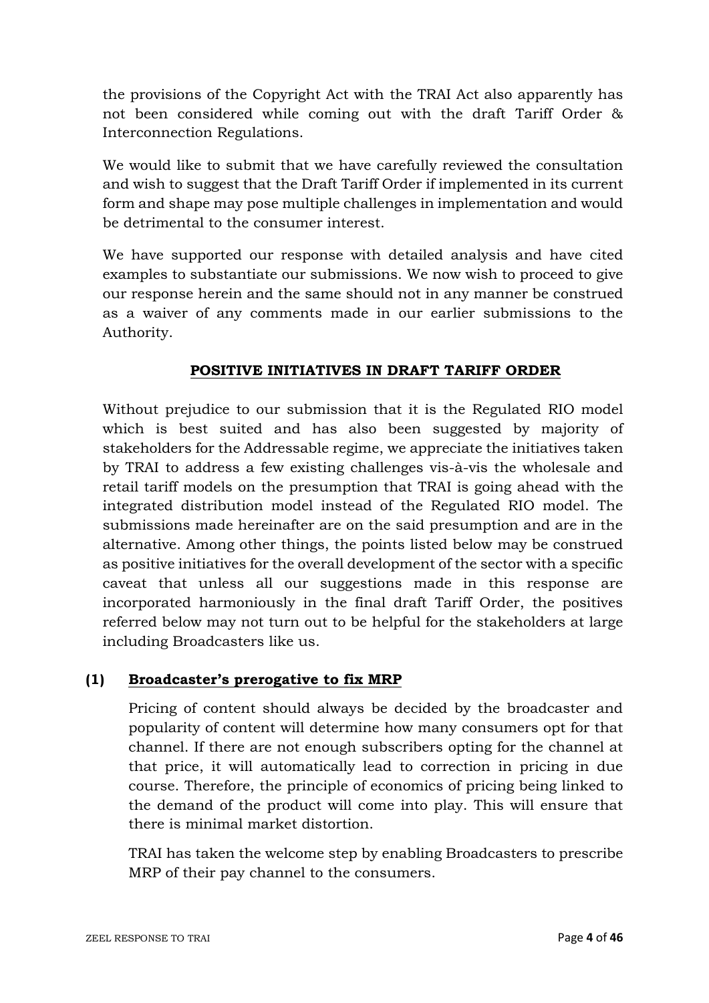the provisions of the Copyright Act with the TRAI Act also apparently has not been considered while coming out with the draft Tariff Order & Interconnection Regulations.

We would like to submit that we have carefully reviewed the consultation and wish to suggest that the Draft Tariff Order if implemented in its current form and shape may pose multiple challenges in implementation and would be detrimental to the consumer interest.

We have supported our response with detailed analysis and have cited examples to substantiate our submissions. We now wish to proceed to give our response herein and the same should not in any manner be construed as a waiver of any comments made in our earlier submissions to the Authority.

# **POSITIVE INITIATIVES IN DRAFT TARIFF ORDER**

Without prejudice to our submission that it is the Regulated RIO model which is best suited and has also been suggested by majority of stakeholders for the Addressable regime, we appreciate the initiatives taken by TRAI to address a few existing challenges vis-à-vis the wholesale and retail tariff models on the presumption that TRAI is going ahead with the integrated distribution model instead of the Regulated RIO model. The submissions made hereinafter are on the said presumption and are in the alternative. Among other things, the points listed below may be construed as positive initiatives for the overall development of the sector with a specific caveat that unless all our suggestions made in this response are incorporated harmoniously in the final draft Tariff Order, the positives referred below may not turn out to be helpful for the stakeholders at large including Broadcasters like us.

## **(1) Broadcaster's prerogative to fix MRP**

Pricing of content should always be decided by the broadcaster and popularity of content will determine how many consumers opt for that channel. If there are not enough subscribers opting for the channel at that price, it will automatically lead to correction in pricing in due course. Therefore, the principle of economics of pricing being linked to the demand of the product will come into play. This will ensure that there is minimal market distortion.

TRAI has taken the welcome step by enabling Broadcasters to prescribe MRP of their pay channel to the consumers.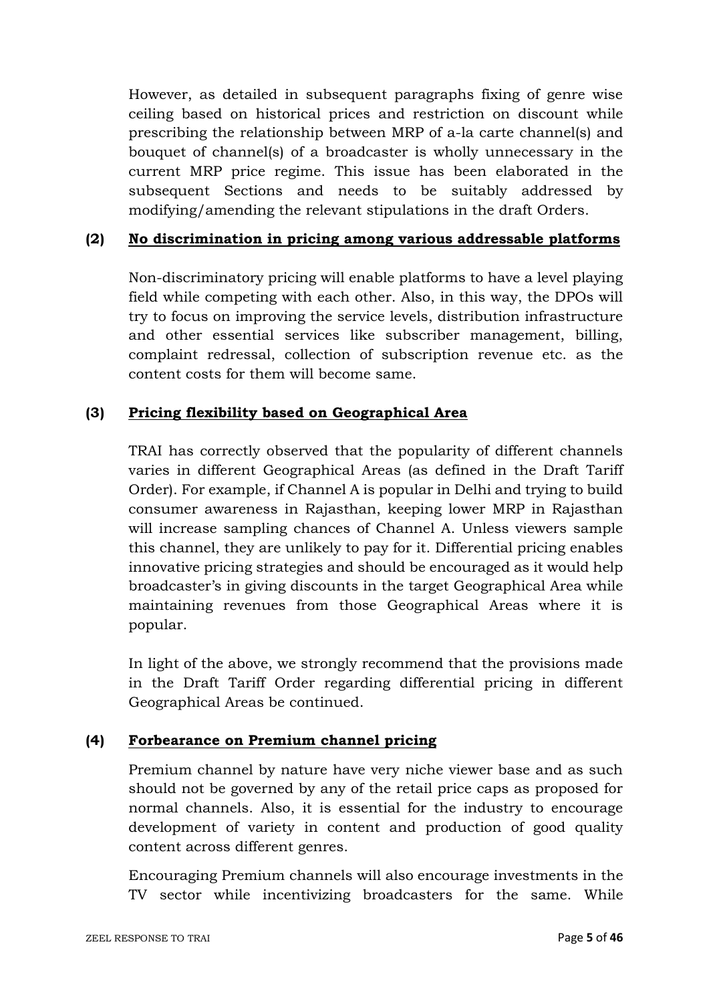However, as detailed in subsequent paragraphs fixing of genre wise ceiling based on historical prices and restriction on discount while prescribing the relationship between MRP of a-la carte channel(s) and bouquet of channel(s) of a broadcaster is wholly unnecessary in the current MRP price regime. This issue has been elaborated in the subsequent Sections and needs to be suitably addressed by modifying/amending the relevant stipulations in the draft Orders.

## **(2) No discrimination in pricing among various addressable platforms**

Non-discriminatory pricing will enable platforms to have a level playing field while competing with each other. Also, in this way, the DPOs will try to focus on improving the service levels, distribution infrastructure and other essential services like subscriber management, billing, complaint redressal, collection of subscription revenue etc. as the content costs for them will become same.

### **(3) Pricing flexibility based on Geographical Area**

TRAI has correctly observed that the popularity of different channels varies in different Geographical Areas (as defined in the Draft Tariff Order). For example, if Channel A is popular in Delhi and trying to build consumer awareness in Rajasthan, keeping lower MRP in Rajasthan will increase sampling chances of Channel A. Unless viewers sample this channel, they are unlikely to pay for it. Differential pricing enables innovative pricing strategies and should be encouraged as it would help broadcaster's in giving discounts in the target Geographical Area while maintaining revenues from those Geographical Areas where it is popular.

In light of the above, we strongly recommend that the provisions made in the Draft Tariff Order regarding differential pricing in different Geographical Areas be continued.

## **(4) Forbearance on Premium channel pricing**

Premium channel by nature have very niche viewer base and as such should not be governed by any of the retail price caps as proposed for normal channels. Also, it is essential for the industry to encourage development of variety in content and production of good quality content across different genres.

Encouraging Premium channels will also encourage investments in the TV sector while incentivizing broadcasters for the same. While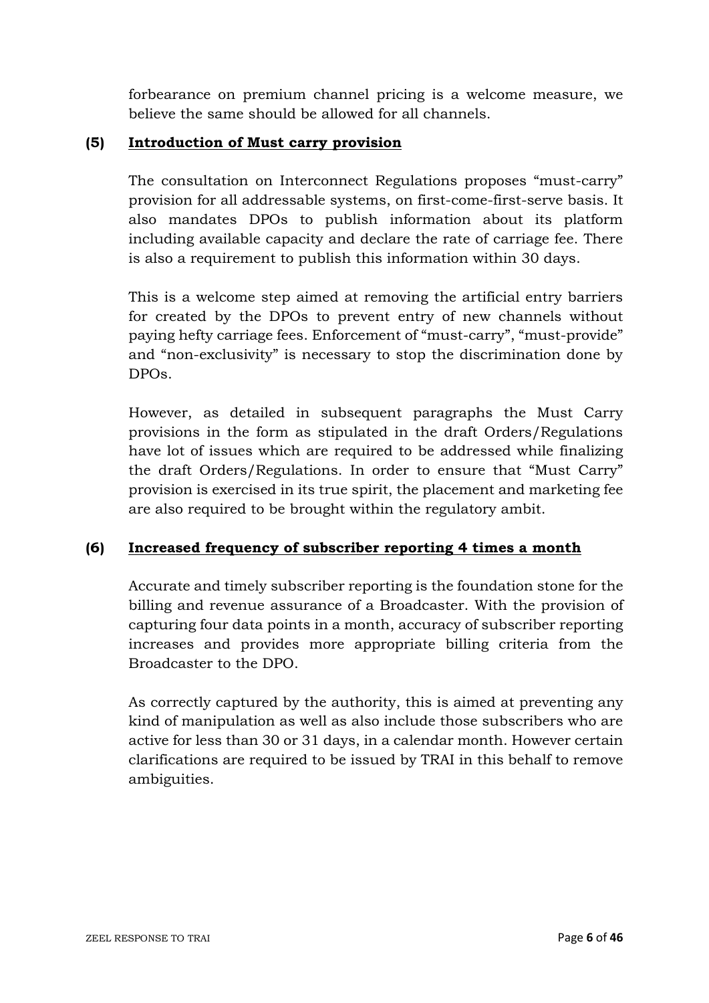forbearance on premium channel pricing is a welcome measure, we believe the same should be allowed for all channels.

### **(5) Introduction of Must carry provision**

The consultation on Interconnect Regulations proposes "must-carry" provision for all addressable systems, on first-come-first-serve basis. It also mandates DPOs to publish information about its platform including available capacity and declare the rate of carriage fee. There is also a requirement to publish this information within 30 days.

This is a welcome step aimed at removing the artificial entry barriers for created by the DPOs to prevent entry of new channels without paying hefty carriage fees. Enforcement of "must-carry", "must-provide" and "non-exclusivity" is necessary to stop the discrimination done by DPOs.

However, as detailed in subsequent paragraphs the Must Carry provisions in the form as stipulated in the draft Orders/Regulations have lot of issues which are required to be addressed while finalizing the draft Orders/Regulations. In order to ensure that "Must Carry" provision is exercised in its true spirit, the placement and marketing fee are also required to be brought within the regulatory ambit.

## **(6) Increased frequency of subscriber reporting 4 times a month**

Accurate and timely subscriber reporting is the foundation stone for the billing and revenue assurance of a Broadcaster. With the provision of capturing four data points in a month, accuracy of subscriber reporting increases and provides more appropriate billing criteria from the Broadcaster to the DPO.

As correctly captured by the authority, this is aimed at preventing any kind of manipulation as well as also include those subscribers who are active for less than 30 or 31 days, in a calendar month. However certain clarifications are required to be issued by TRAI in this behalf to remove ambiguities.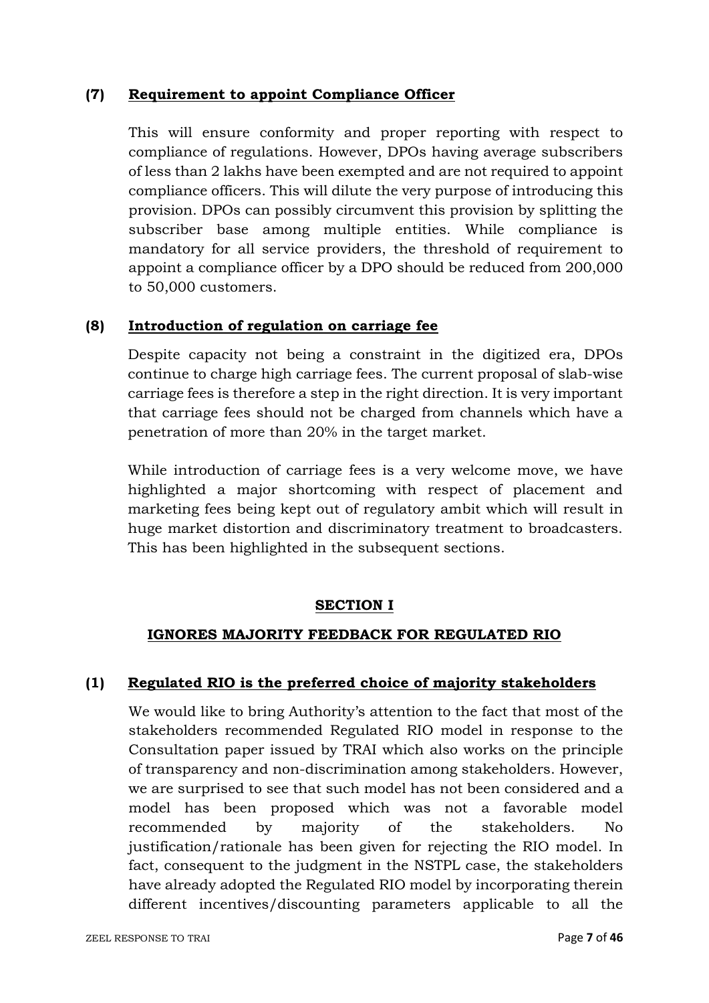### **(7) Requirement to appoint Compliance Officer**

This will ensure conformity and proper reporting with respect to compliance of regulations. However, DPOs having average subscribers of less than 2 lakhs have been exempted and are not required to appoint compliance officers. This will dilute the very purpose of introducing this provision. DPOs can possibly circumvent this provision by splitting the subscriber base among multiple entities. While compliance is mandatory for all service providers, the threshold of requirement to appoint a compliance officer by a DPO should be reduced from 200,000 to 50,000 customers.

### **(8) Introduction of regulation on carriage fee**

Despite capacity not being a constraint in the digitized era, DPOs continue to charge high carriage fees. The current proposal of slab-wise carriage fees is therefore a step in the right direction. It is very important that carriage fees should not be charged from channels which have a penetration of more than 20% in the target market.

While introduction of carriage fees is a very welcome move, we have highlighted a major shortcoming with respect of placement and marketing fees being kept out of regulatory ambit which will result in huge market distortion and discriminatory treatment to broadcasters. This has been highlighted in the subsequent sections.

### **SECTION I**

## **IGNORES MAJORITY FEEDBACK FOR REGULATED RIO**

### **(1) Regulated RIO is the preferred choice of majority stakeholders**

We would like to bring Authority's attention to the fact that most of the stakeholders recommended Regulated RIO model in response to the Consultation paper issued by TRAI which also works on the principle of transparency and non-discrimination among stakeholders. However, we are surprised to see that such model has not been considered and a model has been proposed which was not a favorable model recommended by majority of the stakeholders. No justification/rationale has been given for rejecting the RIO model. In fact, consequent to the judgment in the NSTPL case, the stakeholders have already adopted the Regulated RIO model by incorporating therein different incentives/discounting parameters applicable to all the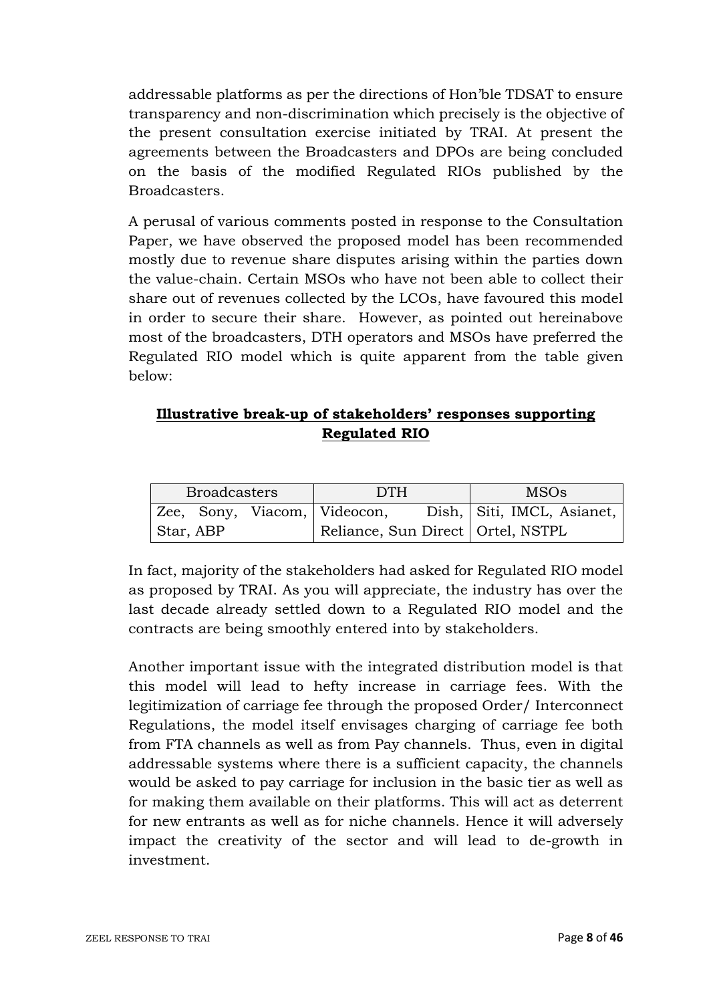addressable platforms as per the directions of Hon'ble TDSAT to ensure transparency and non-discrimination which precisely is the objective of the present consultation exercise initiated by TRAI. At present the agreements between the Broadcasters and DPOs are being concluded on the basis of the modified Regulated RIOs published by the Broadcasters.

A perusal of various comments posted in response to the Consultation Paper, we have observed the proposed model has been recommended mostly due to revenue share disputes arising within the parties down the value-chain. Certain MSOs who have not been able to collect their share out of revenues collected by the LCOs, have favoured this model in order to secure their share. However, as pointed out hereinabove most of the broadcasters, DTH operators and MSOs have preferred the Regulated RIO model which is quite apparent from the table given below:

# **Illustrative break-up of stakeholders' responses supporting Regulated RIO**

| <b>Broadcasters</b> |  | <b>DTH</b> |                              | <b>MSOs</b>                         |                            |  |
|---------------------|--|------------|------------------------------|-------------------------------------|----------------------------|--|
|                     |  |            | Zee, Sony, Viacom, Videocon, |                                     | Dish, Siti, IMCL, Asianet, |  |
| Star, ABP           |  |            |                              | Reliance, Sun Direct   Ortel, NSTPL |                            |  |

In fact, majority of the stakeholders had asked for Regulated RIO model as proposed by TRAI. As you will appreciate, the industry has over the last decade already settled down to a Regulated RIO model and the contracts are being smoothly entered into by stakeholders.

Another important issue with the integrated distribution model is that this model will lead to hefty increase in carriage fees. With the legitimization of carriage fee through the proposed Order/ Interconnect Regulations, the model itself envisages charging of carriage fee both from FTA channels as well as from Pay channels. Thus, even in digital addressable systems where there is a sufficient capacity, the channels would be asked to pay carriage for inclusion in the basic tier as well as for making them available on their platforms. This will act as deterrent for new entrants as well as for niche channels. Hence it will adversely impact the creativity of the sector and will lead to de-growth in investment.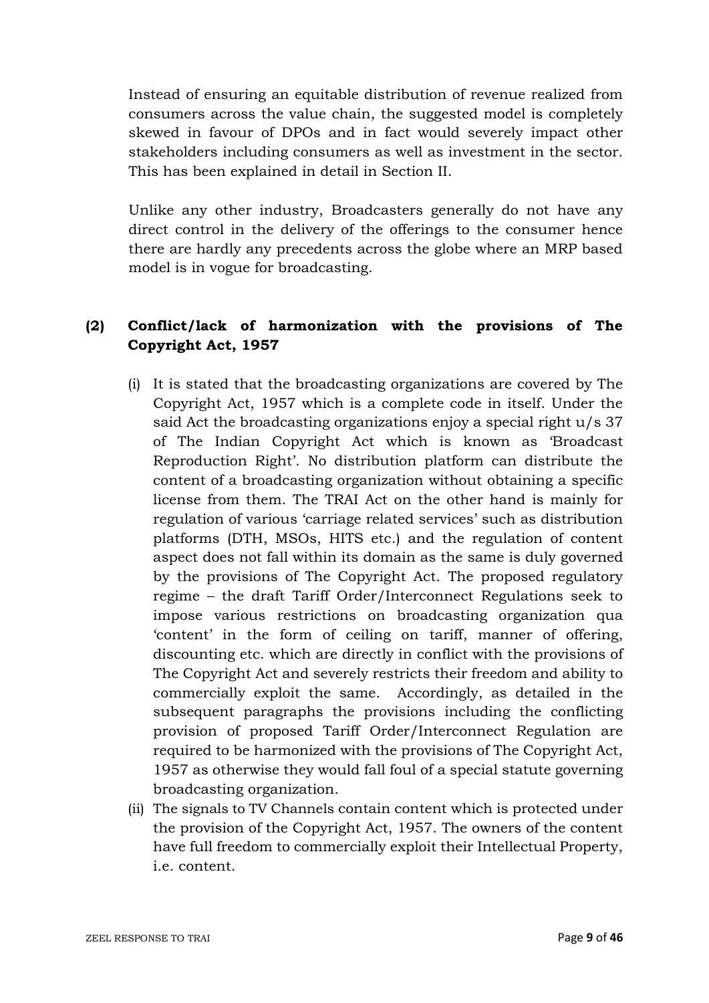Instead of ensuring an equitable distribution of revenue realized from consumers across the value chain, the suggested model is completely skewed in favour of DPOs and in fact would severely impact other stakeholders including consumers as well as investment in the sector. This has been explained in detail in Section II.

Unlike any other industry, Broadcasters generally do not have any direct control in the delivery of the offerings to the consumer hence there are hardly any precedents across the globe where an MRP based model is in vogue for broadcasting.

# **(2) Conflict/lack of harmonization with the provisions of The Copyright Act, 1957**

- (i) It is stated that the broadcasting organizations are covered by The Copyright Act, 1957 which is a complete code in itself. Under the said Act the broadcasting organizations enjoy a special right u/s 37 of The Indian Copyright Act which is known as 'Broadcast Reproduction Right'. No distribution platform can distribute the content of a broadcasting organization without obtaining a specific license from them. The TRAI Act on the other hand is mainly for regulation of various 'carriage related services' such as distribution platforms (DTH, MSOs, HITS etc.) and the regulation of content aspect does not fall within its domain as the same is duly governed by the provisions of The Copyright Act. The proposed regulatory regime – the draft Tariff Order/Interconnect Regulations seek to impose various restrictions on broadcasting organization qua 'content' in the form of ceiling on tariff, manner of offering, discounting etc. which are directly in conflict with the provisions of The Copyright Act and severely restricts their freedom and ability to commercially exploit the same. Accordingly, as detailed in the subsequent paragraphs the provisions including the conflicting provision of proposed Tariff Order/Interconnect Regulation are required to be harmonized with the provisions of The Copyright Act, 1957 as otherwise they would fall foul of a special statute governing broadcasting organization.
- (ii) The signals to TV Channels contain content which is protected under the provision of the Copyright Act, 1957. The owners of the content have full freedom to commercially exploit their Intellectual Property, i.e. content.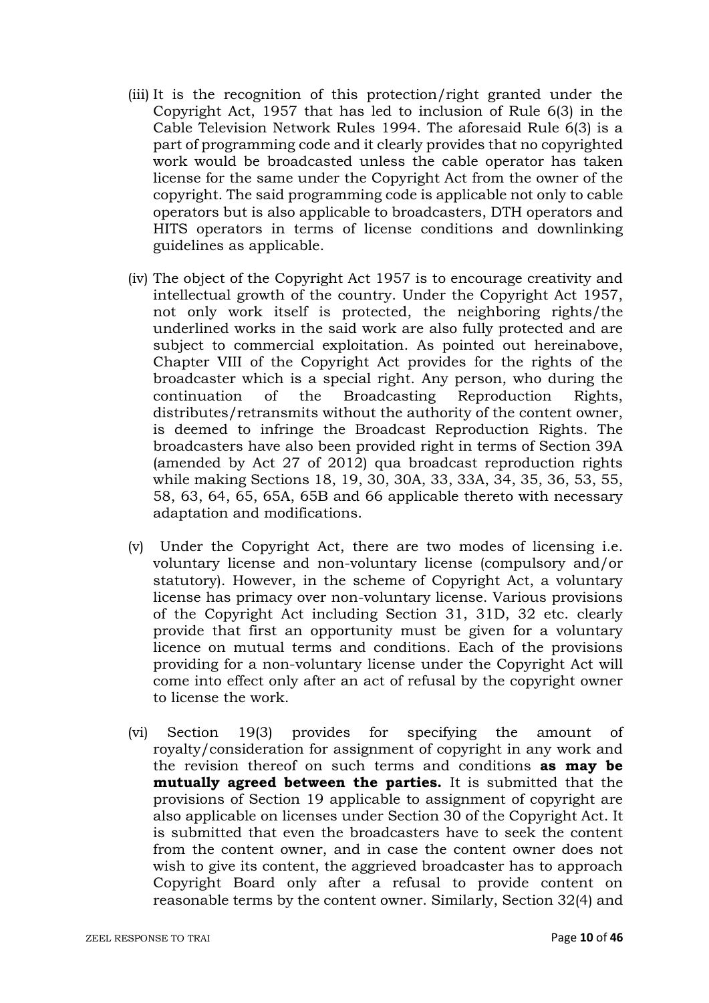- (iii) It is the recognition of this protection/right granted under the Copyright Act, 1957 that has led to inclusion of Rule 6(3) in the Cable Television Network Rules 1994. The aforesaid Rule 6(3) is a part of programming code and it clearly provides that no copyrighted work would be broadcasted unless the cable operator has taken license for the same under the Copyright Act from the owner of the copyright. The said programming code is applicable not only to cable operators but is also applicable to broadcasters, DTH operators and HITS operators in terms of license conditions and downlinking guidelines as applicable.
- (iv) The object of the Copyright Act 1957 is to encourage creativity and intellectual growth of the country. Under the Copyright Act 1957, not only work itself is protected, the neighboring rights/the underlined works in the said work are also fully protected and are subject to commercial exploitation. As pointed out hereinabove, Chapter VIII of the Copyright Act provides for the rights of the broadcaster which is a special right. Any person, who during the continuation of the Broadcasting Reproduction Rights, distributes/retransmits without the authority of the content owner, is deemed to infringe the Broadcast Reproduction Rights. The broadcasters have also been provided right in terms of Section 39A (amended by Act 27 of 2012) qua broadcast reproduction rights while making Sections 18, 19, 30, 30A, 33, 33A, 34, 35, 36, 53, 55, 58, 63, 64, 65, 65A, 65B and 66 applicable thereto with necessary adaptation and modifications.
- (v) Under the Copyright Act, there are two modes of licensing i.e. voluntary license and non-voluntary license (compulsory and/or statutory). However, in the scheme of Copyright Act, a voluntary license has primacy over non-voluntary license. Various provisions of the Copyright Act including Section 31, 31D, 32 etc. clearly provide that first an opportunity must be given for a voluntary licence on mutual terms and conditions. Each of the provisions providing for a non-voluntary license under the Copyright Act will come into effect only after an act of refusal by the copyright owner to license the work.
- (vi) Section 19(3) provides for specifying the amount of royalty/consideration for assignment of copyright in any work and the revision thereof on such terms and conditions **as may be mutually agreed between the parties.** It is submitted that the provisions of Section 19 applicable to assignment of copyright are also applicable on licenses under Section 30 of the Copyright Act. It is submitted that even the broadcasters have to seek the content from the content owner, and in case the content owner does not wish to give its content, the aggrieved broadcaster has to approach Copyright Board only after a refusal to provide content on reasonable terms by the content owner. Similarly, Section 32(4) and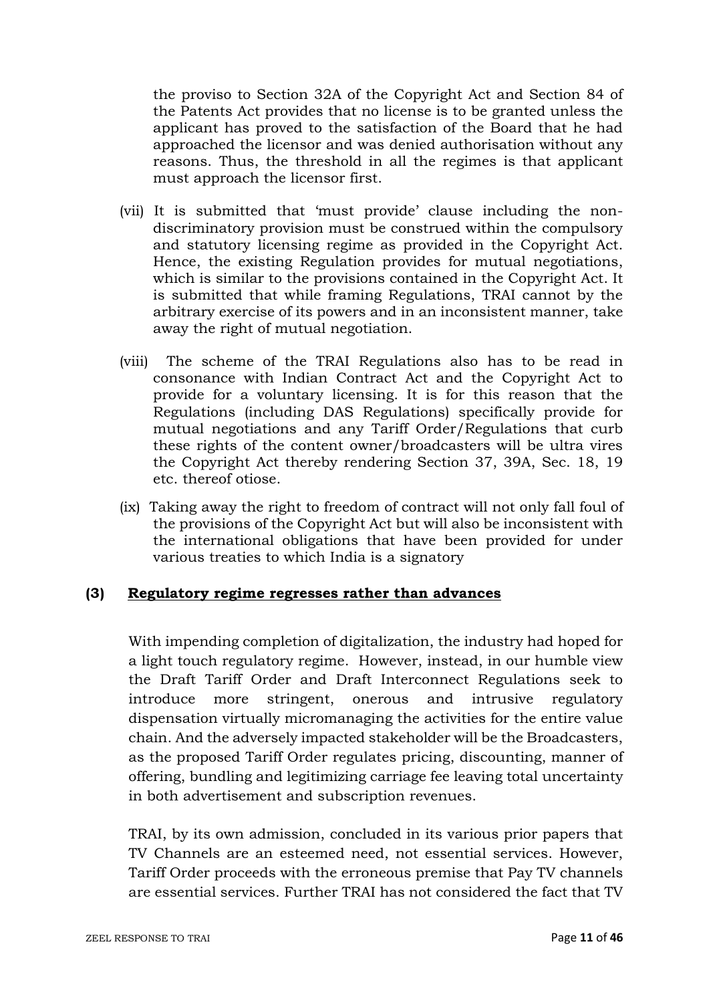the proviso to Section 32A of the Copyright Act and Section 84 of the Patents Act provides that no license is to be granted unless the applicant has proved to the satisfaction of the Board that he had approached the licensor and was denied authorisation without any reasons. Thus, the threshold in all the regimes is that applicant must approach the licensor first.

- (vii) It is submitted that 'must provide' clause including the nondiscriminatory provision must be construed within the compulsory and statutory licensing regime as provided in the Copyright Act. Hence, the existing Regulation provides for mutual negotiations, which is similar to the provisions contained in the Copyright Act. It is submitted that while framing Regulations, TRAI cannot by the arbitrary exercise of its powers and in an inconsistent manner, take away the right of mutual negotiation.
- (viii) The scheme of the TRAI Regulations also has to be read in consonance with Indian Contract Act and the Copyright Act to provide for a voluntary licensing. It is for this reason that the Regulations (including DAS Regulations) specifically provide for mutual negotiations and any Tariff Order/Regulations that curb these rights of the content owner/broadcasters will be ultra vires the Copyright Act thereby rendering Section 37, 39A, Sec. 18, 19 etc. thereof otiose.
- (ix) Taking away the right to freedom of contract will not only fall foul of the provisions of the Copyright Act but will also be inconsistent with the international obligations that have been provided for under various treaties to which India is a signatory

### **(3) Regulatory regime regresses rather than advances**

With impending completion of digitalization, the industry had hoped for a light touch regulatory regime. However, instead, in our humble view the Draft Tariff Order and Draft Interconnect Regulations seek to introduce more stringent, onerous and intrusive regulatory dispensation virtually micromanaging the activities for the entire value chain. And the adversely impacted stakeholder will be the Broadcasters, as the proposed Tariff Order regulates pricing, discounting, manner of offering, bundling and legitimizing carriage fee leaving total uncertainty in both advertisement and subscription revenues.

TRAI, by its own admission, concluded in its various prior papers that TV Channels are an esteemed need, not essential services. However, Tariff Order proceeds with the erroneous premise that Pay TV channels are essential services. Further TRAI has not considered the fact that TV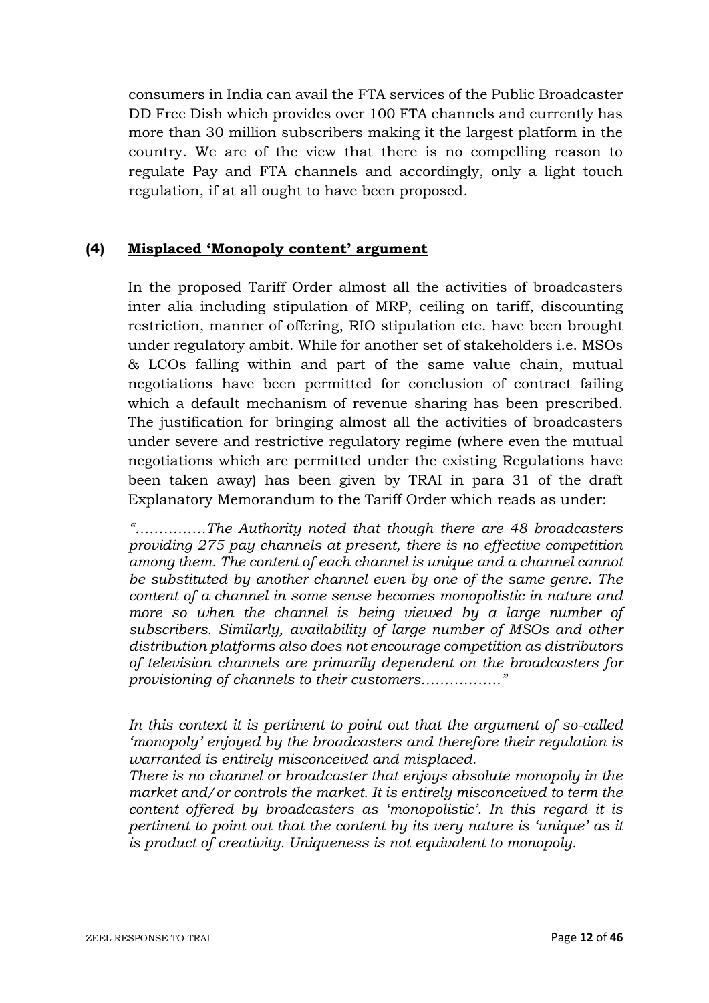consumers in India can avail the FTA services of the Public Broadcaster DD Free Dish which provides over 100 FTA channels and currently has more than 30 million subscribers making it the largest platform in the country. We are of the view that there is no compelling reason to regulate Pay and FTA channels and accordingly, only a light touch regulation, if at all ought to have been proposed.

### **(4) Misplaced 'Monopoly content' argument**

In the proposed Tariff Order almost all the activities of broadcasters inter alia including stipulation of MRP, ceiling on tariff, discounting restriction, manner of offering, RIO stipulation etc. have been brought under regulatory ambit. While for another set of stakeholders i.e. MSOs & LCOs falling within and part of the same value chain, mutual negotiations have been permitted for conclusion of contract failing which a default mechanism of revenue sharing has been prescribed. The justification for bringing almost all the activities of broadcasters under severe and restrictive regulatory regime (where even the mutual negotiations which are permitted under the existing Regulations have been taken away) has been given by TRAI in para 31 of the draft Explanatory Memorandum to the Tariff Order which reads as under:

*"……………The Authority noted that though there are 48 broadcasters providing 275 pay channels at present, there is no effective competition among them. The content of each channel is unique and a channel cannot be substituted by another channel even by one of the same genre. The content of a channel in some sense becomes monopolistic in nature and*  more so when the channel is being viewed by a large number of *subscribers. Similarly, availability of large number of MSOs and other distribution platforms also does not encourage competition as distributors of television channels are primarily dependent on the broadcasters for provisioning of channels to their customers…………….."*

*In this context it is pertinent to point out that the argument of so-called 'monopoly' enjoyed by the broadcasters and therefore their regulation is warranted is entirely misconceived and misplaced.*

*There is no channel or broadcaster that enjoys absolute monopoly in the market and/or controls the market. It is entirely misconceived to term the content offered by broadcasters as 'monopolistic'. In this regard it is pertinent to point out that the content by its very nature is 'unique' as it is product of creativity. Uniqueness is not equivalent to monopoly.*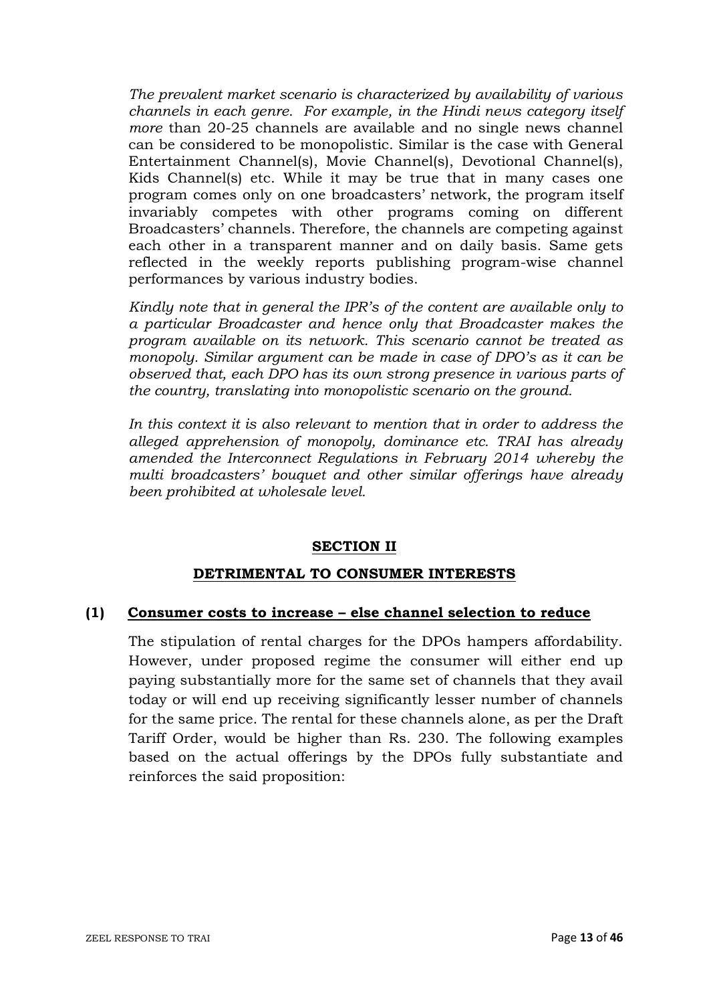*The prevalent market scenario is characterized by availability of various channels in each genre. For example, in the Hindi news category itself more* than 20-25 channels are available and no single news channel can be considered to be monopolistic. Similar is the case with General Entertainment Channel(s), Movie Channel(s), Devotional Channel(s), Kids Channel(s) etc. While it may be true that in many cases one program comes only on one broadcasters' network, the program itself invariably competes with other programs coming on different Broadcasters' channels. Therefore, the channels are competing against each other in a transparent manner and on daily basis. Same gets reflected in the weekly reports publishing program-wise channel performances by various industry bodies.

*Kindly note that in general the IPR's of the content are available only to a particular Broadcaster and hence only that Broadcaster makes the program available on its network. This scenario cannot be treated as monopoly. Similar argument can be made in case of DPO's as it can be observed that, each DPO has its own strong presence in various parts of the country, translating into monopolistic scenario on the ground.*

*In this context it is also relevant to mention that in order to address the alleged apprehension of monopoly, dominance etc. TRAI has already amended the Interconnect Regulations in February 2014 whereby the multi broadcasters' bouquet and other similar offerings have already been prohibited at wholesale level.* 

### **SECTION II**

#### **DETRIMENTAL TO CONSUMER INTERESTS**

#### **(1) Consumer costs to increase – else channel selection to reduce**

The stipulation of rental charges for the DPOs hampers affordability. However, under proposed regime the consumer will either end up paying substantially more for the same set of channels that they avail today or will end up receiving significantly lesser number of channels for the same price. The rental for these channels alone, as per the Draft Tariff Order, would be higher than Rs. 230. The following examples based on the actual offerings by the DPOs fully substantiate and reinforces the said proposition: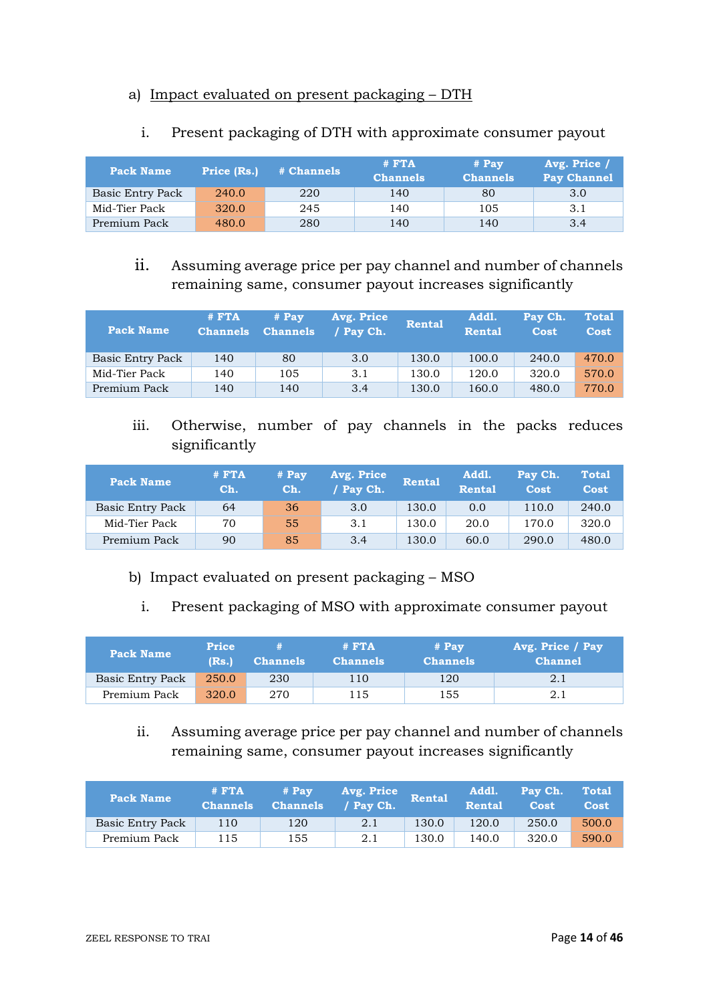### a) Impact evaluated on present packaging – DTH

| <b>Pack Name</b> | Price (Rs.) | # Channels | $#$ <b>FTA</b><br><b>Channels</b> | $#$ Pay<br><b>Channels</b> | Avg. Price /<br><b>Pay Channel</b> |
|------------------|-------------|------------|-----------------------------------|----------------------------|------------------------------------|
| Basic Entry Pack | 240.0       | 220        | 140                               | 80                         | 3.0                                |
| Mid-Tier Pack    | 320.0       | 245        | 140                               | 105                        | 3.1                                |
| Premium Pack     | 480.0       | 280        | 140                               | 140                        | 3.4                                |

### i. Present packaging of DTH with approximate consumer payout

# ii. Assuming average price per pay channel and number of channels remaining same, consumer payout increases significantly

| <b>Pack Name</b> | $#$ <b>FTA</b><br><b>Channels</b> | $#$ Pay<br><b>Channels</b> | Avg. Price<br>/ Pay Ch. | <b>Rental</b> | Addl.<br><b>Rental</b> | Pay Ch.<br><b>Cost</b> | <b>Total</b><br>Cost |
|------------------|-----------------------------------|----------------------------|-------------------------|---------------|------------------------|------------------------|----------------------|
| Basic Entry Pack | 140                               | 80                         | 3.0                     | 130.0         | 100.0                  | 240.0                  | 470.0                |
| Mid-Tier Pack    | 140                               | 105                        | 3.1                     | 130.0         | 120.0                  | 320.0                  | 570.0                |
| Premium Pack     | 140                               | 140                        | 3.4                     | 130.0         | 160.0                  | 480.0                  | 770.0                |

iii. Otherwise, number of pay channels in the packs reduces significantly

| <b>Pack Name</b> | $#$ $FTA$<br>Ch. | # Pay<br>Ch. | Avg. Price<br>/ Pay Ch. | <b>Rental</b> | Addl.<br><b>Rental</b> | Pay Ch.<br><b>Cost</b> | <b>Total</b><br>Cost |
|------------------|------------------|--------------|-------------------------|---------------|------------------------|------------------------|----------------------|
| Basic Entry Pack | 64               | 36           | 3.0                     | 130.0         | 0.0                    | 110.0                  | 240.0                |
| Mid-Tier Pack    | 70               | 55           | 3.1                     | 130.0         | 20.0                   | 170.0                  | 320.0                |
| Premium Pack     | 90               | 85           | 3.4                     | 130.0         | 60.0                   | 290.0                  | 480.0                |

- b) Impact evaluated on present packaging MSO
	- i. Present packaging of MSO with approximate consumer payout

| Pack Name        | <b>Price</b><br>(Rs. | <b>Channels</b> | $#$ $FTA$<br><b>Channels</b> | $#$ Pay<br><b>Channels</b> | Avg. Price / Pay<br><b>Channel</b> |
|------------------|----------------------|-----------------|------------------------------|----------------------------|------------------------------------|
| Basic Entry Pack | 250.0                | 230             | 110                          | 120                        | 2.1                                |
| Premium Pack     | 320.0                | 270             | 115                          | 155                        | 2.1                                |

ii. Assuming average price per pay channel and number of channels remaining same, consumer payout increases significantly

| <b>Pack Name</b> | $#$ $FTA$<br><b>Channels</b> | # Pay<br><b>Channels</b> | Avg. Price<br>/ Pav Ch. | Rental | Addl.<br><b>Rental</b> | Pay Ch.<br>Cost | <b>Total</b><br>Cost |
|------------------|------------------------------|--------------------------|-------------------------|--------|------------------------|-----------------|----------------------|
| Basic Entry Pack | 110                          | 120                      | 2.1                     | 130.0  | 120.0                  | 250.0           | 500.0                |
| Premium Pack     | 115                          | 155                      | 2.1                     | 130.0  | 140.0                  | 320.0           | 590.0                |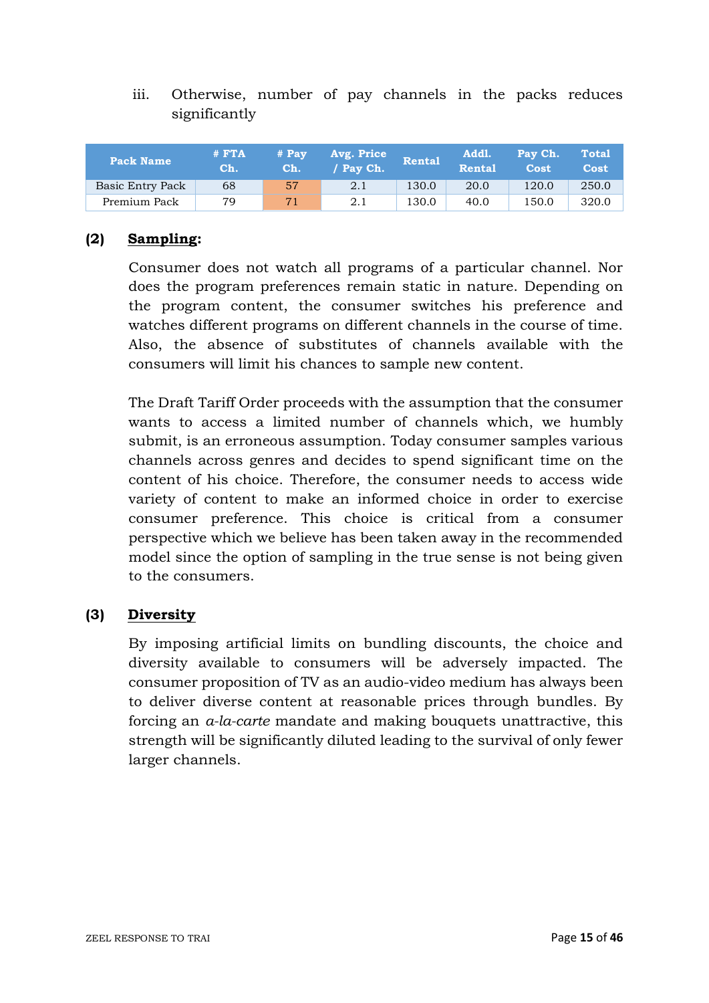iii. Otherwise, number of pay channels in the packs reduces significantly

| <b>Pack Name</b> | $#$ $FTA$<br>Ch. | $# \; Pav$<br>Ch. | Avg. Price<br>/ Pav Ch. | Rental | Addl.<br><b>Rental</b> | Pay Ch.<br>Cost | <b>Total</b><br>Cost |
|------------------|------------------|-------------------|-------------------------|--------|------------------------|-----------------|----------------------|
| Basic Entry Pack | 68               | 57                | 2.1                     | 130.0  | 20.0                   | 120.0           | 250.0                |
| Premium Pack     | 79               | 71                | 2.1                     | 130.0  | 40.0                   | 150.0           | 320.0                |

## **(2) Sampling:**

Consumer does not watch all programs of a particular channel. Nor does the program preferences remain static in nature. Depending on the program content, the consumer switches his preference and watches different programs on different channels in the course of time. Also, the absence of substitutes of channels available with the consumers will limit his chances to sample new content.

The Draft Tariff Order proceeds with the assumption that the consumer wants to access a limited number of channels which, we humbly submit, is an erroneous assumption. Today consumer samples various channels across genres and decides to spend significant time on the content of his choice. Therefore, the consumer needs to access wide variety of content to make an informed choice in order to exercise consumer preference. This choice is critical from a consumer perspective which we believe has been taken away in the recommended model since the option of sampling in the true sense is not being given to the consumers.

### **(3) Diversity**

By imposing artificial limits on bundling discounts, the choice and diversity available to consumers will be adversely impacted. The consumer proposition of TV as an audio-video medium has always been to deliver diverse content at reasonable prices through bundles. By forcing an *a-la-carte* mandate and making bouquets unattractive, this strength will be significantly diluted leading to the survival of only fewer larger channels.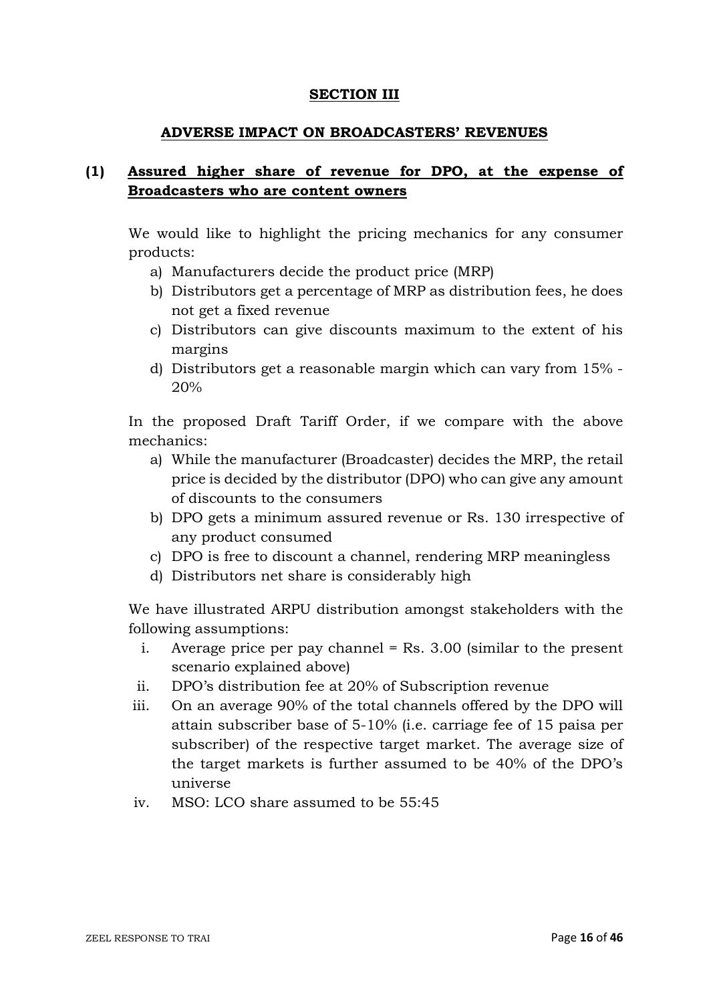#### **SECTION III**

#### **ADVERSE IMPACT ON BROADCASTERS' REVENUES**

## **(1) Assured higher share of revenue for DPO, at the expense of Broadcasters who are content owners**

We would like to highlight the pricing mechanics for any consumer products:

- a) Manufacturers decide the product price (MRP)
- b) Distributors get a percentage of MRP as distribution fees, he does not get a fixed revenue
- c) Distributors can give discounts maximum to the extent of his margins
- d) Distributors get a reasonable margin which can vary from 15% 20%

In the proposed Draft Tariff Order, if we compare with the above mechanics:

- a) While the manufacturer (Broadcaster) decides the MRP, the retail price is decided by the distributor (DPO) who can give any amount of discounts to the consumers
- b) DPO gets a minimum assured revenue or Rs. 130 irrespective of any product consumed
- c) DPO is free to discount a channel, rendering MRP meaningless
- d) Distributors net share is considerably high

We have illustrated ARPU distribution amongst stakeholders with the following assumptions:

- i. Average price per pay channel  $=$  Rs. 3.00 (similar to the present scenario explained above)
- ii. DPO's distribution fee at 20% of Subscription revenue
- iii. On an average 90% of the total channels offered by the DPO will attain subscriber base of 5-10% (i.e. carriage fee of 15 paisa per subscriber) of the respective target market. The average size of the target markets is further assumed to be 40% of the DPO's universe
- iv. MSO: LCO share assumed to be 55:45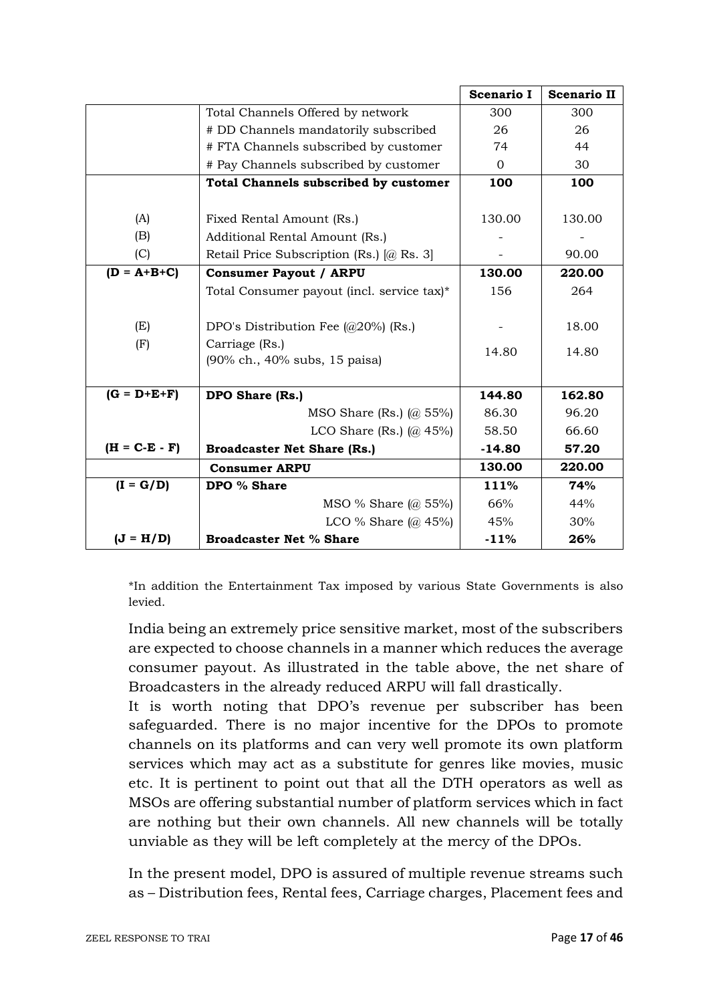|                 |                                                            | <b>Scenario I</b> | <b>Scenario II</b> |
|-----------------|------------------------------------------------------------|-------------------|--------------------|
|                 | Total Channels Offered by network                          | 300               | 300                |
|                 | # DD Channels mandatorily subscribed                       | 26                | 26                 |
|                 | # FTA Channels subscribed by customer                      | 74                | 44                 |
|                 | # Pay Channels subscribed by customer                      | $\Omega$          | 30                 |
|                 | <b>Total Channels subscribed by customer</b>               | 100               | 100                |
|                 |                                                            |                   |                    |
| (A)             | Fixed Rental Amount (Rs.)                                  | 130.00            | 130.00             |
| (B)             | Additional Rental Amount (Rs.)                             |                   |                    |
| (C)             | Retail Price Subscription (Rs.) [@ Rs. 3]                  |                   | 90.00              |
| $(D = A+B+C)$   | <b>Consumer Payout / ARPU</b>                              | 130.00            | 220.00             |
|                 | Total Consumer payout (incl. service tax)*                 | 156               | 264                |
|                 |                                                            |                   |                    |
| (E)             | DPO's Distribution Fee $\left(\frac{a}{20\%}\right)$ (Rs.) |                   | 18.00              |
| (F)             | Carriage (Rs.)                                             | 14.80             | 14.80              |
|                 | (90% ch., 40% subs, 15 paisa)                              |                   |                    |
|                 |                                                            |                   |                    |
| $(G = D+E+F)$   | DPO Share (Rs.)                                            | 144.80            | 162.80             |
|                 | MSO Share (Rs.) $(a)$ 55%)                                 | 86.30             | 96.20              |
|                 | LCO Share (Rs.) $(a)$ 45%)                                 | 58.50             | 66.60              |
| $(H = C-E - F)$ | <b>Broadcaster Net Share (Rs.)</b>                         | $-14.80$          | 57.20              |
|                 | <b>Consumer ARPU</b>                                       | 130.00            | 220.00             |
| $(I = G/D)$     | DPO % Share                                                | 111%              | 74%                |
|                 | MSO % Share $(a)$ 55%)                                     | 66%               | 44%                |
|                 | LCO % Share $\left(\omega\right)$ 45%)                     | 45%               | 30%                |
| $(J = H/D)$     | <b>Broadcaster Net % Share</b>                             | $-11%$            | 26%                |

\*In addition the Entertainment Tax imposed by various State Governments is also levied.

India being an extremely price sensitive market, most of the subscribers are expected to choose channels in a manner which reduces the average consumer payout. As illustrated in the table above, the net share of Broadcasters in the already reduced ARPU will fall drastically.

It is worth noting that DPO's revenue per subscriber has been safeguarded. There is no major incentive for the DPOs to promote channels on its platforms and can very well promote its own platform services which may act as a substitute for genres like movies, music etc. It is pertinent to point out that all the DTH operators as well as MSOs are offering substantial number of platform services which in fact are nothing but their own channels. All new channels will be totally unviable as they will be left completely at the mercy of the DPOs.

In the present model, DPO is assured of multiple revenue streams such as – Distribution fees, Rental fees, Carriage charges, Placement fees and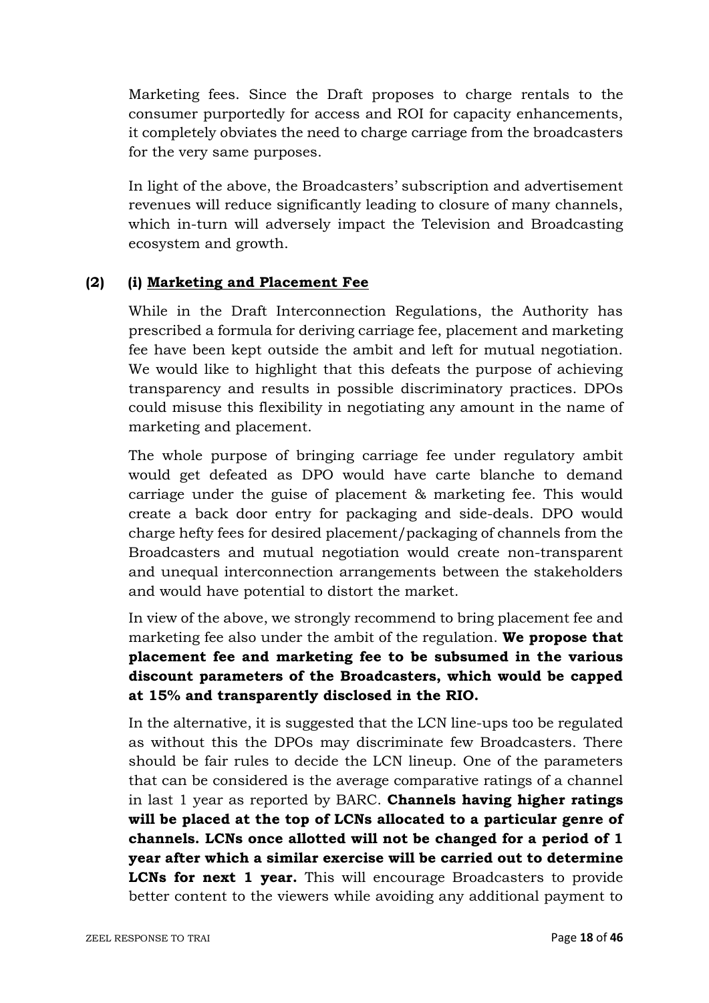Marketing fees. Since the Draft proposes to charge rentals to the consumer purportedly for access and ROI for capacity enhancements, it completely obviates the need to charge carriage from the broadcasters for the very same purposes.

In light of the above, the Broadcasters' subscription and advertisement revenues will reduce significantly leading to closure of many channels, which in-turn will adversely impact the Television and Broadcasting ecosystem and growth.

## **(2) (i) Marketing and Placement Fee**

While in the Draft Interconnection Regulations, the Authority has prescribed a formula for deriving carriage fee, placement and marketing fee have been kept outside the ambit and left for mutual negotiation. We would like to highlight that this defeats the purpose of achieving transparency and results in possible discriminatory practices. DPOs could misuse this flexibility in negotiating any amount in the name of marketing and placement.

The whole purpose of bringing carriage fee under regulatory ambit would get defeated as DPO would have carte blanche to demand carriage under the guise of placement & marketing fee. This would create a back door entry for packaging and side-deals. DPO would charge hefty fees for desired placement/packaging of channels from the Broadcasters and mutual negotiation would create non-transparent and unequal interconnection arrangements between the stakeholders and would have potential to distort the market.

In view of the above, we strongly recommend to bring placement fee and marketing fee also under the ambit of the regulation. **We propose that placement fee and marketing fee to be subsumed in the various discount parameters of the Broadcasters, which would be capped at 15% and transparently disclosed in the RIO.**

In the alternative, it is suggested that the LCN line-ups too be regulated as without this the DPOs may discriminate few Broadcasters. There should be fair rules to decide the LCN lineup. One of the parameters that can be considered is the average comparative ratings of a channel in last 1 year as reported by BARC. **Channels having higher ratings will be placed at the top of LCNs allocated to a particular genre of channels. LCNs once allotted will not be changed for a period of 1 year after which a similar exercise will be carried out to determine LCNs for next 1 year.** This will encourage Broadcasters to provide better content to the viewers while avoiding any additional payment to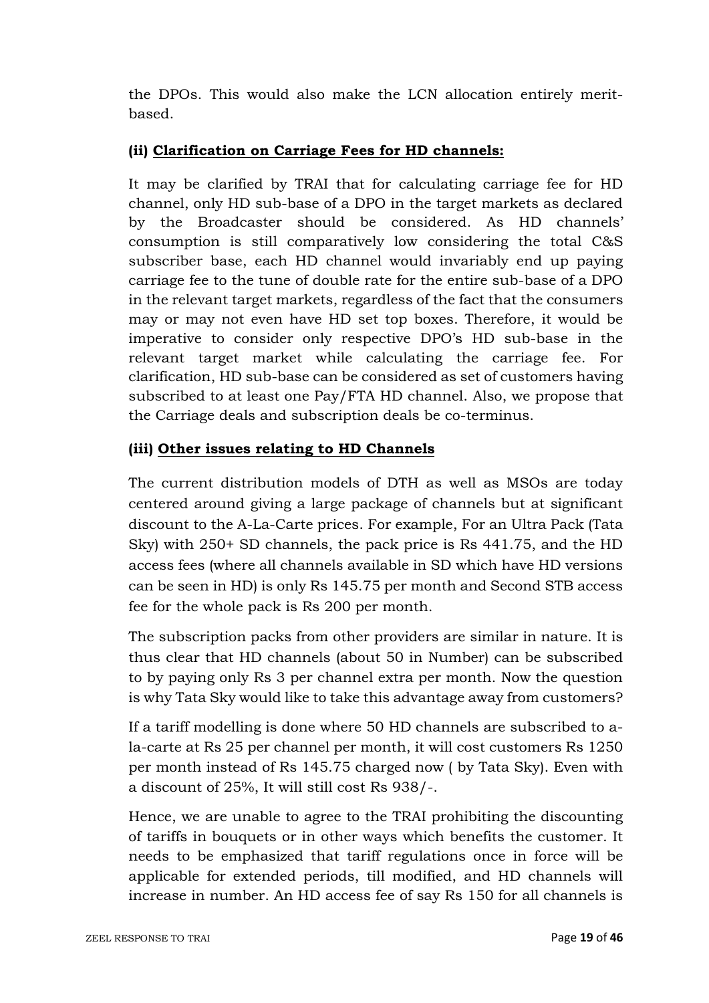the DPOs. This would also make the LCN allocation entirely meritbased.

## **(ii) Clarification on Carriage Fees for HD channels:**

It may be clarified by TRAI that for calculating carriage fee for HD channel, only HD sub-base of a DPO in the target markets as declared by the Broadcaster should be considered. As HD channels' consumption is still comparatively low considering the total C&S subscriber base, each HD channel would invariably end up paying carriage fee to the tune of double rate for the entire sub-base of a DPO in the relevant target markets, regardless of the fact that the consumers may or may not even have HD set top boxes. Therefore, it would be imperative to consider only respective DPO's HD sub-base in the relevant target market while calculating the carriage fee. For clarification, HD sub-base can be considered as set of customers having subscribed to at least one Pay/FTA HD channel. Also, we propose that the Carriage deals and subscription deals be co-terminus.

## **(iii) Other issues relating to HD Channels**

The current distribution models of DTH as well as MSOs are today centered around giving a large package of channels but at significant discount to the A-La-Carte prices. For example, For an Ultra Pack (Tata Sky) with 250+ SD channels, the pack price is Rs 441.75, and the HD access fees (where all channels available in SD which have HD versions can be seen in HD) is only Rs 145.75 per month and Second STB access fee for the whole pack is Rs 200 per month.

The subscription packs from other providers are similar in nature. It is thus clear that HD channels (about 50 in Number) can be subscribed to by paying only Rs 3 per channel extra per month. Now the question is why Tata Sky would like to take this advantage away from customers?

If a tariff modelling is done where 50 HD channels are subscribed to ala-carte at Rs 25 per channel per month, it will cost customers Rs 1250 per month instead of Rs 145.75 charged now ( by Tata Sky). Even with a discount of 25%, It will still cost Rs 938/-.

Hence, we are unable to agree to the TRAI prohibiting the discounting of tariffs in bouquets or in other ways which benefits the customer. It needs to be emphasized that tariff regulations once in force will be applicable for extended periods, till modified, and HD channels will increase in number. An HD access fee of say Rs 150 for all channels is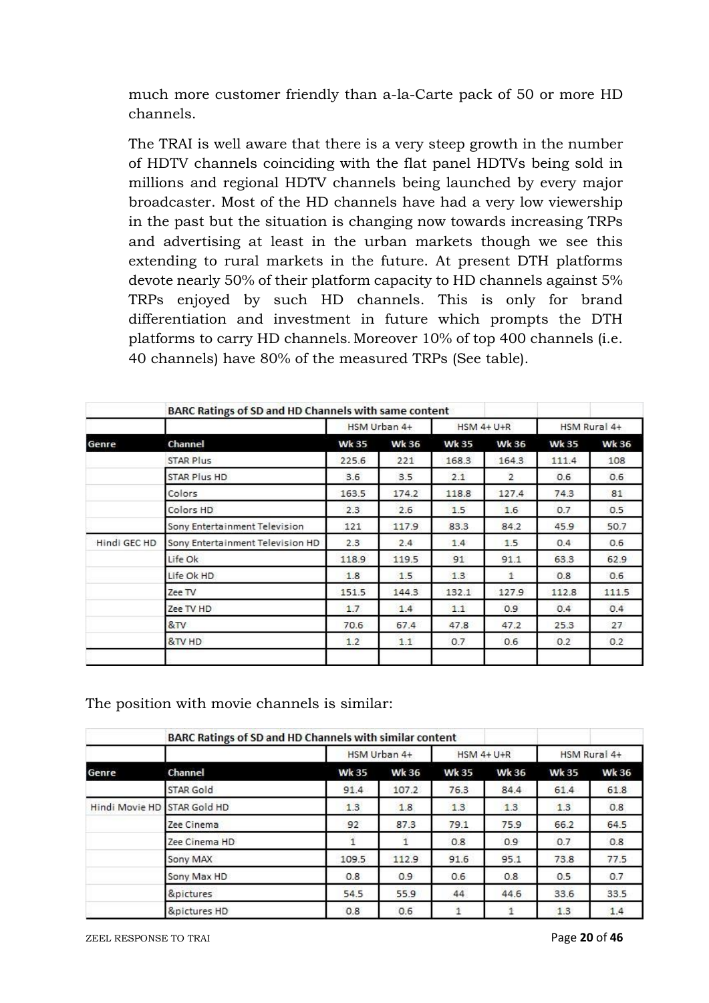much more customer friendly than a-la-Carte pack of 50 or more HD channels.

The TRAI is well aware that there is a very steep growth in the number of HDTV channels coinciding with the flat panel HDTVs being sold in millions and regional HDTV channels being launched by every major broadcaster. Most of the HD channels have had a very low viewership in the past but the situation is changing now towards increasing TRPs and advertising at least in the urban markets though we see this extending to rural markets in the future. At present DTH platforms devote nearly 50% of their platform capacity to HD channels against 5% TRPs enjoyed by such HD channels. This is only for brand differentiation and investment in future which prompts the DTH platforms to carry HD channels. Moreover 10% of top 400 channels (i.e. 40 channels) have 80% of the measured TRPs (See table).

|              | BARC Ratings of SD and HD Channels with same content |              |              |              |                   |               |              |
|--------------|------------------------------------------------------|--------------|--------------|--------------|-------------------|---------------|--------------|
|              |                                                      |              | HSM Urban 4+ |              | <b>HSM 4+ U+R</b> |               | HSM Rural 4+ |
| Genre        | Channel                                              | <b>Wk 35</b> | <b>Wk 36</b> | <b>Wk 35</b> | <b>Wk 36</b>      | <b>Wk 35</b>  | <b>Wk 36</b> |
|              | <b>STAR Plus</b>                                     | 225.6        | 221          | 168.3        | 164.3             | 111.4         | 108          |
|              | STAR Plus HD                                         | 3.6          | 3.5          | 2.1          | $\overline{2}$    | 0.6           | 0.6          |
|              | Colors                                               | 163.5        | 174.2        | 118.8        | 127.4             | 74.3          | 81           |
|              | Colors HD                                            | 2.3          | 2.6          | 1.5          | 1.6               | 0.7           | 0.5          |
|              | Sony Entertainment Television                        | 121          | 117.9        | 83.3         | 84.2              | 45.9          | 50.7         |
| Hindi GEC HD | Sony Entertainment Television HD                     | 2.3          | 2.4          | 1.4          | 1.5               | $0.4^{\circ}$ | 0.6          |
|              | Life Ok                                              | 118.9        | 119.5        | 91           | 91.1              | 63.3          | 62.9         |
|              | Life Ok HD                                           | 1.8          | 1.5          | 1.3          | $\mathbf{1}$      | 0.8           | 0.6          |
|              | Zee TV                                               | 151.5        | 144.3        | 132.1        | 127.9             | 112.8         | 111.5        |
|              | Zee TV HD                                            | 1.7          | 1.4          | 1.1          | 0.9               | 0.4           | 0.4          |
|              | 8 <sub>TV</sub>                                      | 70.6         | 67.4         | 47.8         | 47.2              | 25.3          | 27           |
|              | &TV HD                                               | 1.2          | 1.1          | 0.7          | 0.6               | 0.2           | 0.2          |
|              |                                                      |              |              |              |                   |               |              |

The position with movie channels is similar:

|                | BARC Ratings of SD and HD Channels with similar content |              |              |              |              |              |              |
|----------------|---------------------------------------------------------|--------------|--------------|--------------|--------------|--------------|--------------|
|                |                                                         |              | HSM Urban 4+ |              |              | HSM Rural 4+ |              |
| Genre          | Channel                                                 | <b>Wk 35</b> | <b>Wk 36</b> | <b>Wk 35</b> | <b>Wk 36</b> | <b>Wk 35</b> | <b>Wk 36</b> |
|                | STAR Gold                                               | 91.4         | 107.2        | 76.3         | 84.4         | 61.4         | 61.8         |
| Hindi Movie HD | STAR Gold HD                                            | 1.3          | 1.8          | 1.3          | 1.3          | 1.3          | 0.8          |
|                | Zee Cinema                                              | 92           | 87.3         | 79.1         | 75.9         | 66.2         | 64.5         |
|                | Zee Cinema HD                                           |              |              | 0.8          | 0.9          | 0.7          | 0.8          |
|                | Sony MAX                                                | 109.5        | 112.9        | 91.6         | 95.1         | 73.8         | 77.5         |
|                | Sony Max HD                                             | 0.8          | 0.9          | 0.6          | 0.8          | 0.5          | 0.7          |
|                | &pictures                                               | 54.5         | 55.9         | 44           | 44.6         | 33.6         | 33.5         |
|                | &pictures HD                                            | 0.8          | 0.6          | 1            |              | 1.3          | 1.4          |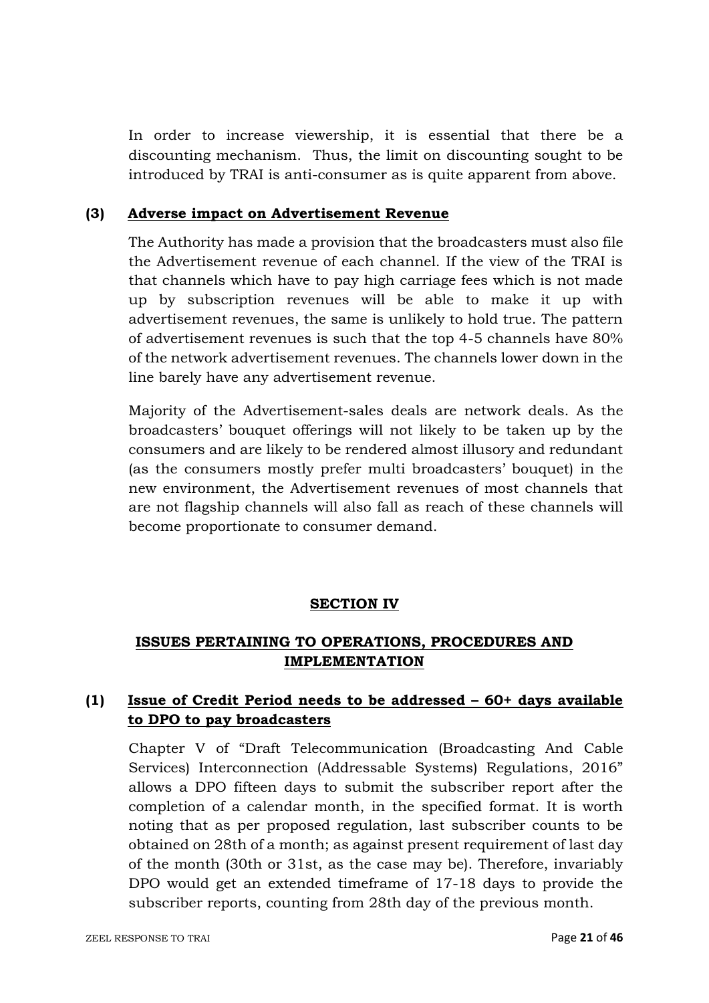In order to increase viewership, it is essential that there be a discounting mechanism. Thus, the limit on discounting sought to be introduced by TRAI is anti-consumer as is quite apparent from above.

### **(3) Adverse impact on Advertisement Revenue**

The Authority has made a provision that the broadcasters must also file the Advertisement revenue of each channel. If the view of the TRAI is that channels which have to pay high carriage fees which is not made up by subscription revenues will be able to make it up with advertisement revenues, the same is unlikely to hold true. The pattern of advertisement revenues is such that the top 4-5 channels have 80% of the network advertisement revenues. The channels lower down in the line barely have any advertisement revenue.

Majority of the Advertisement-sales deals are network deals. As the broadcasters' bouquet offerings will not likely to be taken up by the consumers and are likely to be rendered almost illusory and redundant (as the consumers mostly prefer multi broadcasters' bouquet) in the new environment, the Advertisement revenues of most channels that are not flagship channels will also fall as reach of these channels will become proportionate to consumer demand.

### **SECTION IV**

# **ISSUES PERTAINING TO OPERATIONS, PROCEDURES AND IMPLEMENTATION**

# **(1) Issue of Credit Period needs to be addressed – 60+ days available to DPO to pay broadcasters**

Chapter V of "Draft Telecommunication (Broadcasting And Cable Services) Interconnection (Addressable Systems) Regulations, 2016" allows a DPO fifteen days to submit the subscriber report after the completion of a calendar month, in the specified format. It is worth noting that as per proposed regulation, last subscriber counts to be obtained on 28th of a month; as against present requirement of last day of the month (30th or 31st, as the case may be). Therefore, invariably DPO would get an extended timeframe of 17-18 days to provide the subscriber reports, counting from 28th day of the previous month.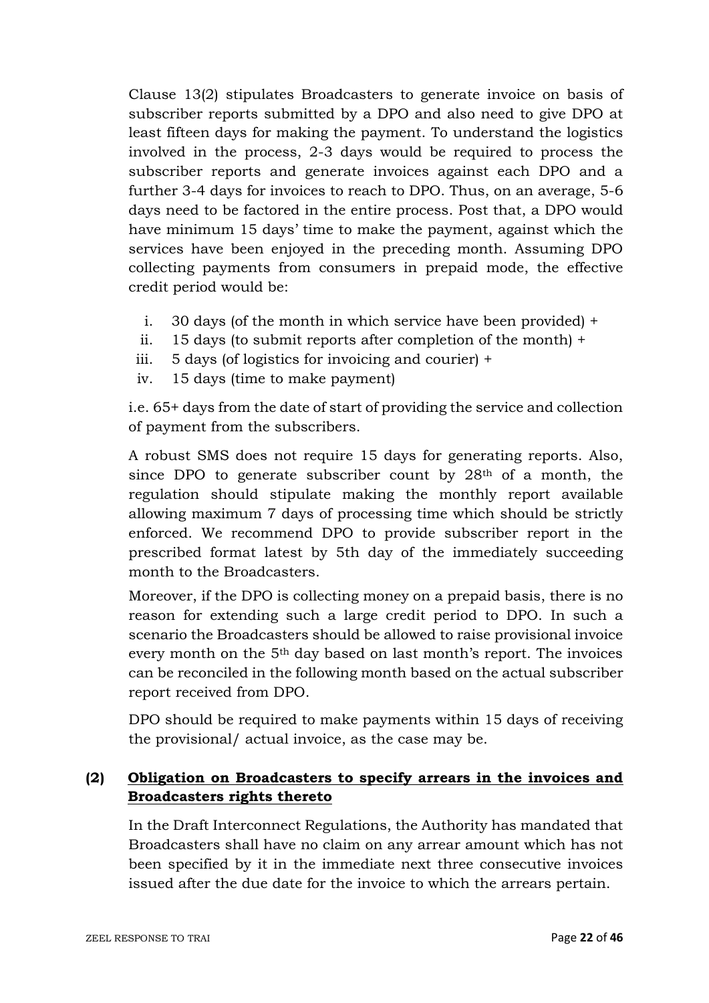Clause 13(2) stipulates Broadcasters to generate invoice on basis of subscriber reports submitted by a DPO and also need to give DPO at least fifteen days for making the payment. To understand the logistics involved in the process, 2-3 days would be required to process the subscriber reports and generate invoices against each DPO and a further 3-4 days for invoices to reach to DPO. Thus, on an average, 5-6 days need to be factored in the entire process. Post that, a DPO would have minimum 15 days' time to make the payment, against which the services have been enjoyed in the preceding month. Assuming DPO collecting payments from consumers in prepaid mode, the effective credit period would be:

- i. 30 days (of the month in which service have been provided) +
- ii. 15 days (to submit reports after completion of the month) +
- iii. 5 days (of logistics for invoicing and courier) +
- iv. 15 days (time to make payment)

i.e. 65+ days from the date of start of providing the service and collection of payment from the subscribers.

A robust SMS does not require 15 days for generating reports. Also, since DPO to generate subscriber count by 28<sup>th</sup> of a month, the regulation should stipulate making the monthly report available allowing maximum 7 days of processing time which should be strictly enforced. We recommend DPO to provide subscriber report in the prescribed format latest by 5th day of the immediately succeeding month to the Broadcasters.

Moreover, if the DPO is collecting money on a prepaid basis, there is no reason for extending such a large credit period to DPO. In such a scenario the Broadcasters should be allowed to raise provisional invoice every month on the 5th day based on last month's report. The invoices can be reconciled in the following month based on the actual subscriber report received from DPO.

DPO should be required to make payments within 15 days of receiving the provisional/ actual invoice, as the case may be.

# **(2) Obligation on Broadcasters to specify arrears in the invoices and Broadcasters rights thereto**

In the Draft Interconnect Regulations, the Authority has mandated that Broadcasters shall have no claim on any arrear amount which has not been specified by it in the immediate next three consecutive invoices issued after the due date for the invoice to which the arrears pertain.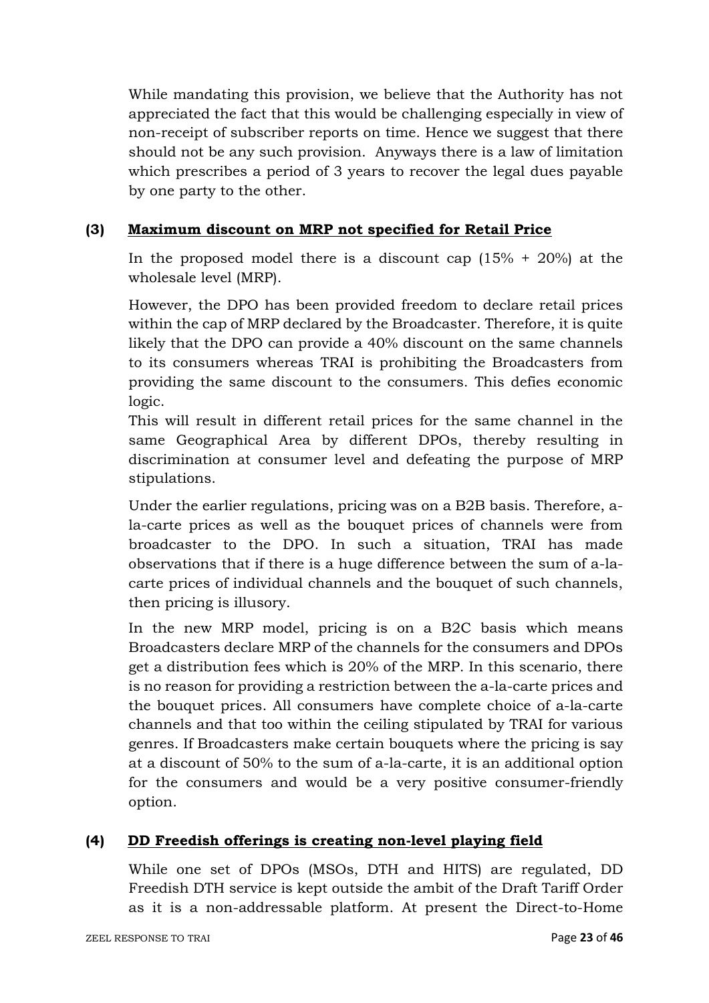While mandating this provision, we believe that the Authority has not appreciated the fact that this would be challenging especially in view of non-receipt of subscriber reports on time. Hence we suggest that there should not be any such provision. Anyways there is a law of limitation which prescribes a period of 3 years to recover the legal dues payable by one party to the other.

## **(3) Maximum discount on MRP not specified for Retail Price**

In the proposed model there is a discount cap  $(15\% + 20\%)$  at the wholesale level (MRP).

However, the DPO has been provided freedom to declare retail prices within the cap of MRP declared by the Broadcaster. Therefore, it is quite likely that the DPO can provide a 40% discount on the same channels to its consumers whereas TRAI is prohibiting the Broadcasters from providing the same discount to the consumers. This defies economic logic.

This will result in different retail prices for the same channel in the same Geographical Area by different DPOs, thereby resulting in discrimination at consumer level and defeating the purpose of MRP stipulations.

Under the earlier regulations, pricing was on a B2B basis. Therefore, ala-carte prices as well as the bouquet prices of channels were from broadcaster to the DPO. In such a situation, TRAI has made observations that if there is a huge difference between the sum of a-lacarte prices of individual channels and the bouquet of such channels, then pricing is illusory.

In the new MRP model, pricing is on a B2C basis which means Broadcasters declare MRP of the channels for the consumers and DPOs get a distribution fees which is 20% of the MRP. In this scenario, there is no reason for providing a restriction between the a-la-carte prices and the bouquet prices. All consumers have complete choice of a-la-carte channels and that too within the ceiling stipulated by TRAI for various genres. If Broadcasters make certain bouquets where the pricing is say at a discount of 50% to the sum of a-la-carte, it is an additional option for the consumers and would be a very positive consumer-friendly option.

# **(4) DD Freedish offerings is creating non-level playing field**

While one set of DPOs (MSOs, DTH and HITS) are regulated, DD Freedish DTH service is kept outside the ambit of the Draft Tariff Order as it is a non-addressable platform. At present the Direct-to-Home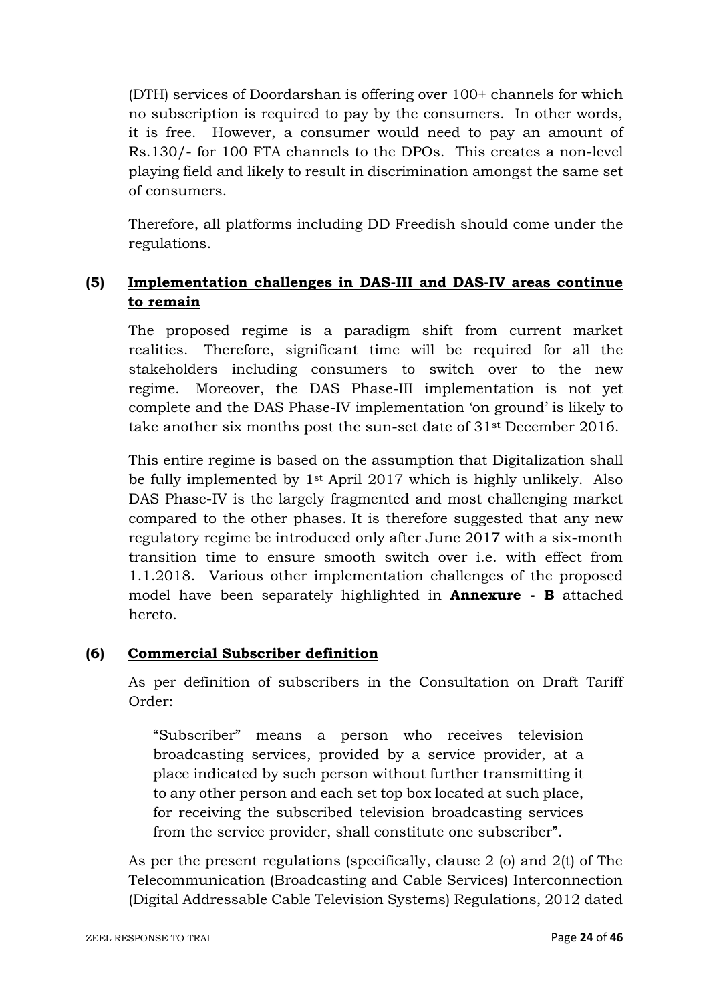(DTH) services of Doordarshan is offering over 100+ channels for which no subscription is required to pay by the consumers. In other words, it is free. However, a consumer would need to pay an amount of Rs.130/- for 100 FTA channels to the DPOs. This creates a non-level playing field and likely to result in discrimination amongst the same set of consumers.

Therefore, all platforms including DD Freedish should come under the regulations.

# **(5) Implementation challenges in DAS-III and DAS-IV areas continue to remain**

The proposed regime is a paradigm shift from current market realities. Therefore, significant time will be required for all the stakeholders including consumers to switch over to the new regime. Moreover, the DAS Phase-III implementation is not yet complete and the DAS Phase-IV implementation 'on ground' is likely to take another six months post the sun-set date of 31st December 2016.

This entire regime is based on the assumption that Digitalization shall be fully implemented by 1st April 2017 which is highly unlikely. Also DAS Phase-IV is the largely fragmented and most challenging market compared to the other phases. It is therefore suggested that any new regulatory regime be introduced only after June 2017 with a six-month transition time to ensure smooth switch over i.e. with effect from 1.1.2018. Various other implementation challenges of the proposed model have been separately highlighted in **Annexure - B** attached hereto.

## **(6) Commercial Subscriber definition**

As per definition of subscribers in the Consultation on Draft Tariff Order:

"Subscriber" means a person who receives television broadcasting services, provided by a service provider, at a place indicated by such person without further transmitting it to any other person and each set top box located at such place, for receiving the subscribed television broadcasting services from the service provider, shall constitute one subscriber".

As per the present regulations (specifically, clause 2 (o) and 2(t) of The Telecommunication (Broadcasting and Cable Services) Interconnection (Digital Addressable Cable Television Systems) Regulations, 2012 dated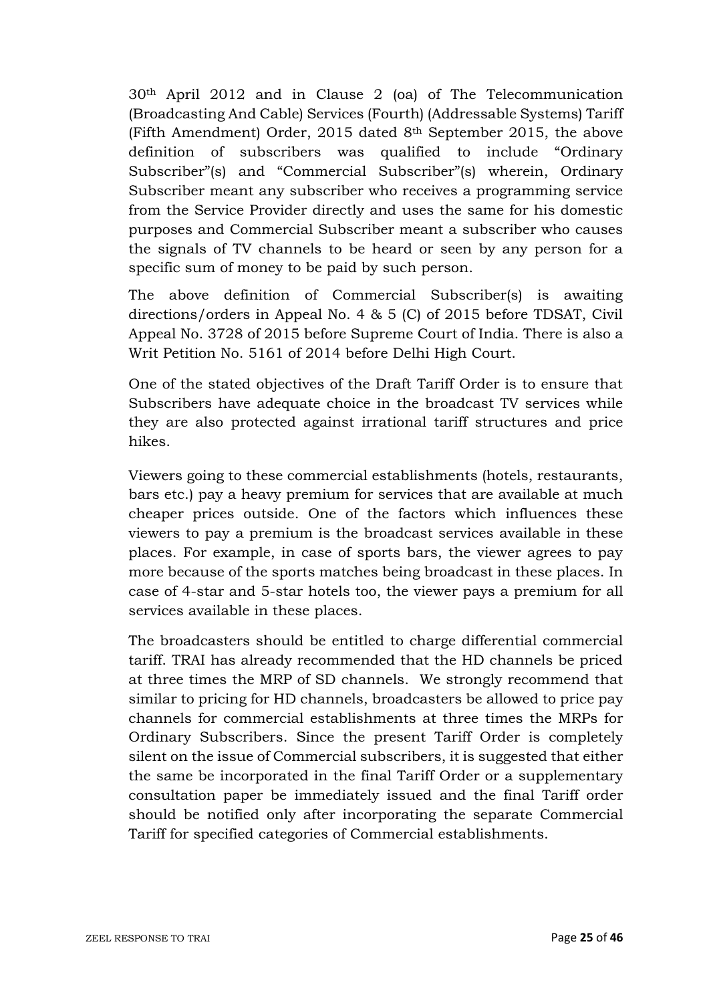30th April 2012 and in Clause 2 (oa) of The Telecommunication (Broadcasting And Cable) Services (Fourth) (Addressable Systems) Tariff (Fifth Amendment) Order, 2015 dated 8th September 2015, the above definition of subscribers was qualified to include "Ordinary Subscriber"(s) and "Commercial Subscriber"(s) wherein, Ordinary Subscriber meant any subscriber who receives a programming service from the Service Provider directly and uses the same for his domestic purposes and Commercial Subscriber meant a subscriber who causes the signals of TV channels to be heard or seen by any person for a specific sum of money to be paid by such person.

The above definition of Commercial Subscriber(s) is awaiting directions/orders in Appeal No. 4 & 5 (C) of 2015 before TDSAT, Civil Appeal No. 3728 of 2015 before Supreme Court of India. There is also a Writ Petition No. 5161 of 2014 before Delhi High Court.

One of the stated objectives of the Draft Tariff Order is to ensure that Subscribers have adequate choice in the broadcast TV services while they are also protected against irrational tariff structures and price hikes.

Viewers going to these commercial establishments (hotels, restaurants, bars etc.) pay a heavy premium for services that are available at much cheaper prices outside. One of the factors which influences these viewers to pay a premium is the broadcast services available in these places. For example, in case of sports bars, the viewer agrees to pay more because of the sports matches being broadcast in these places. In case of 4-star and 5-star hotels too, the viewer pays a premium for all services available in these places.

The broadcasters should be entitled to charge differential commercial tariff. TRAI has already recommended that the HD channels be priced at three times the MRP of SD channels. We strongly recommend that similar to pricing for HD channels, broadcasters be allowed to price pay channels for commercial establishments at three times the MRPs for Ordinary Subscribers. Since the present Tariff Order is completely silent on the issue of Commercial subscribers, it is suggested that either the same be incorporated in the final Tariff Order or a supplementary consultation paper be immediately issued and the final Tariff order should be notified only after incorporating the separate Commercial Tariff for specified categories of Commercial establishments.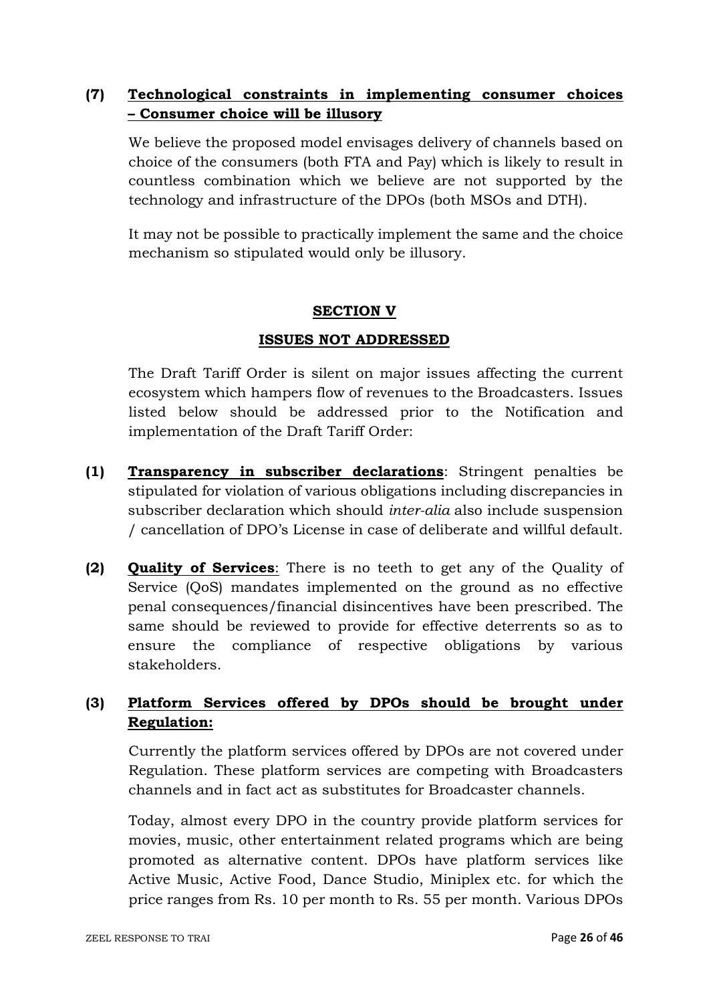# **(7) Technological constraints in implementing consumer choices – Consumer choice will be illusory**

We believe the proposed model envisages delivery of channels based on choice of the consumers (both FTA and Pay) which is likely to result in countless combination which we believe are not supported by the technology and infrastructure of the DPOs (both MSOs and DTH).

It may not be possible to practically implement the same and the choice mechanism so stipulated would only be illusory.

### **SECTION V**

### **ISSUES NOT ADDRESSED**

The Draft Tariff Order is silent on major issues affecting the current ecosystem which hampers flow of revenues to the Broadcasters. Issues listed below should be addressed prior to the Notification and implementation of the Draft Tariff Order:

- **(1) Transparency in subscriber declarations**: Stringent penalties be stipulated for violation of various obligations including discrepancies in subscriber declaration which should *inter-alia* also include suspension / cancellation of DPO's License in case of deliberate and willful default.
- **(2) Quality of Services**: There is no teeth to get any of the Quality of Service (QoS) mandates implemented on the ground as no effective penal consequences/financial disincentives have been prescribed. The same should be reviewed to provide for effective deterrents so as to ensure the compliance of respective obligations by various stakeholders.

# **(3) Platform Services offered by DPOs should be brought under Regulation:**

Currently the platform services offered by DPOs are not covered under Regulation. These platform services are competing with Broadcasters channels and in fact act as substitutes for Broadcaster channels.

Today, almost every DPO in the country provide platform services for movies, music, other entertainment related programs which are being promoted as alternative content. DPOs have platform services like Active Music, Active Food, Dance Studio, Miniplex etc. for which the price ranges from Rs. 10 per month to Rs. 55 per month. Various DPOs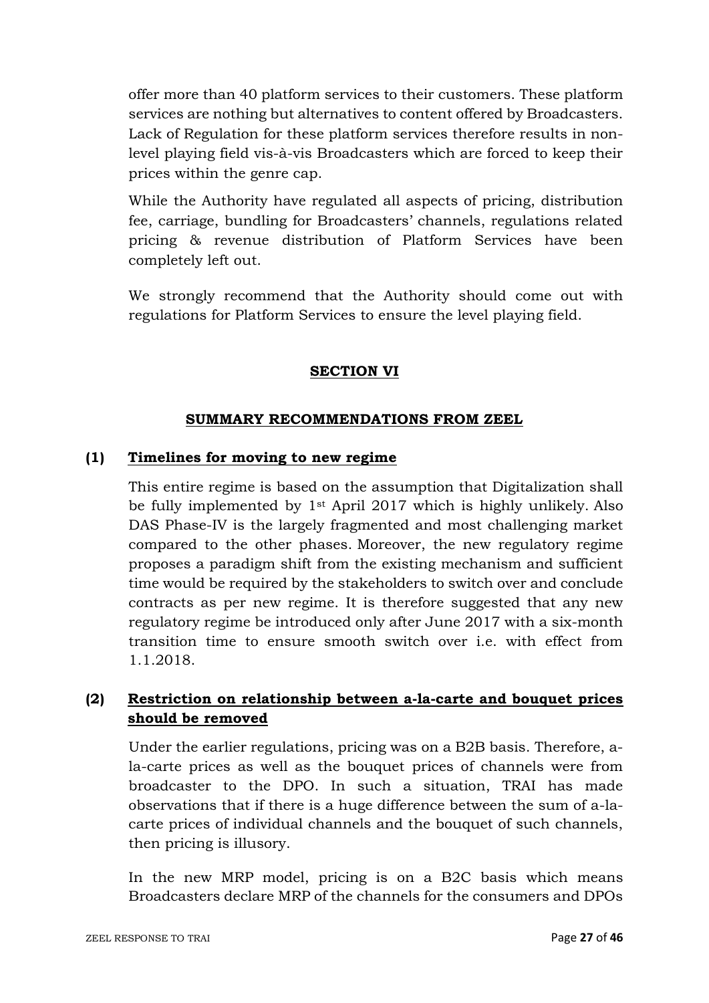offer more than 40 platform services to their customers. These platform services are nothing but alternatives to content offered by Broadcasters. Lack of Regulation for these platform services therefore results in nonlevel playing field vis-à-vis Broadcasters which are forced to keep their prices within the genre cap.

While the Authority have regulated all aspects of pricing, distribution fee, carriage, bundling for Broadcasters' channels, regulations related pricing & revenue distribution of Platform Services have been completely left out.

We strongly recommend that the Authority should come out with regulations for Platform Services to ensure the level playing field.

## **SECTION VI**

### **SUMMARY RECOMMENDATIONS FROM ZEEL**

#### **(1) Timelines for moving to new regime**

This entire regime is based on the assumption that Digitalization shall be fully implemented by 1st April 2017 which is highly unlikely. Also DAS Phase-IV is the largely fragmented and most challenging market compared to the other phases. Moreover, the new regulatory regime proposes a paradigm shift from the existing mechanism and sufficient time would be required by the stakeholders to switch over and conclude contracts as per new regime. It is therefore suggested that any new regulatory regime be introduced only after June 2017 with a six-month transition time to ensure smooth switch over i.e. with effect from 1.1.2018.

# **(2) Restriction on relationship between a-la-carte and bouquet prices should be removed**

Under the earlier regulations, pricing was on a B2B basis. Therefore, ala-carte prices as well as the bouquet prices of channels were from broadcaster to the DPO. In such a situation, TRAI has made observations that if there is a huge difference between the sum of a-lacarte prices of individual channels and the bouquet of such channels, then pricing is illusory.

In the new MRP model, pricing is on a B2C basis which means Broadcasters declare MRP of the channels for the consumers and DPOs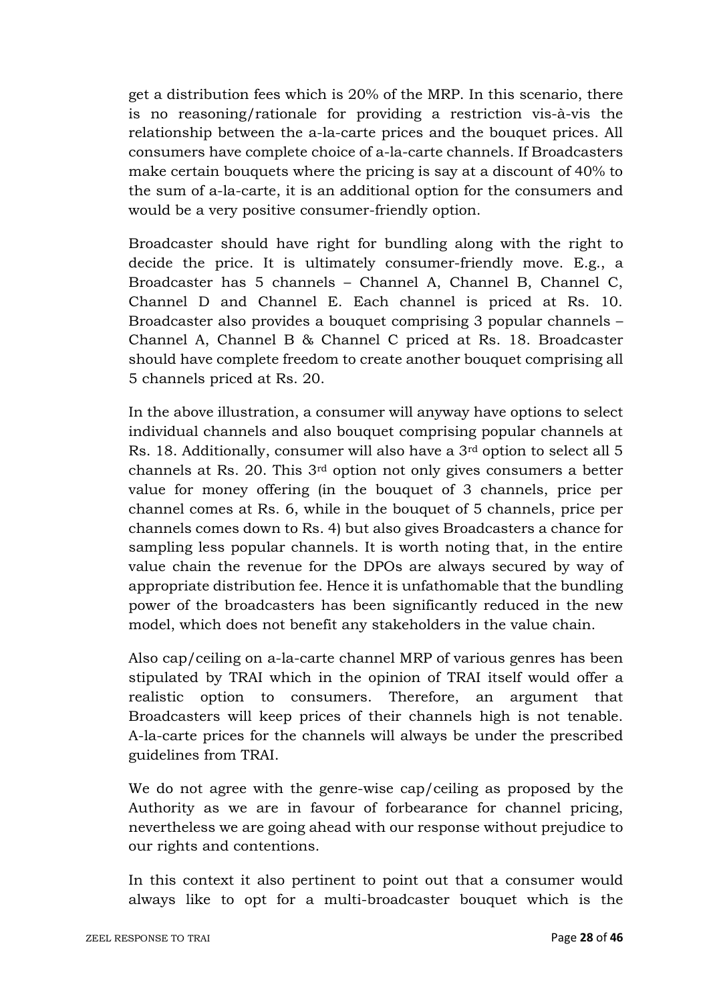get a distribution fees which is 20% of the MRP. In this scenario, there is no reasoning/rationale for providing a restriction vis-à-vis the relationship between the a-la-carte prices and the bouquet prices. All consumers have complete choice of a-la-carte channels. If Broadcasters make certain bouquets where the pricing is say at a discount of 40% to the sum of a-la-carte, it is an additional option for the consumers and would be a very positive consumer-friendly option.

Broadcaster should have right for bundling along with the right to decide the price. It is ultimately consumer-friendly move. E.g., a Broadcaster has 5 channels – Channel A, Channel B, Channel C, Channel D and Channel E. Each channel is priced at Rs. 10. Broadcaster also provides a bouquet comprising 3 popular channels – Channel A, Channel B & Channel C priced at Rs. 18. Broadcaster should have complete freedom to create another bouquet comprising all 5 channels priced at Rs. 20.

In the above illustration, a consumer will anyway have options to select individual channels and also bouquet comprising popular channels at Rs. 18. Additionally, consumer will also have a 3rd option to select all 5 channels at Rs. 20. This 3rd option not only gives consumers a better value for money offering (in the bouquet of 3 channels, price per channel comes at Rs. 6, while in the bouquet of 5 channels, price per channels comes down to Rs. 4) but also gives Broadcasters a chance for sampling less popular channels. It is worth noting that, in the entire value chain the revenue for the DPOs are always secured by way of appropriate distribution fee. Hence it is unfathomable that the bundling power of the broadcasters has been significantly reduced in the new model, which does not benefit any stakeholders in the value chain.

Also cap/ceiling on a-la-carte channel MRP of various genres has been stipulated by TRAI which in the opinion of TRAI itself would offer a realistic option to consumers. Therefore, an argument that Broadcasters will keep prices of their channels high is not tenable. A-la-carte prices for the channels will always be under the prescribed guidelines from TRAI.

We do not agree with the genre-wise cap/ceiling as proposed by the Authority as we are in favour of forbearance for channel pricing, nevertheless we are going ahead with our response without prejudice to our rights and contentions.

In this context it also pertinent to point out that a consumer would always like to opt for a multi-broadcaster bouquet which is the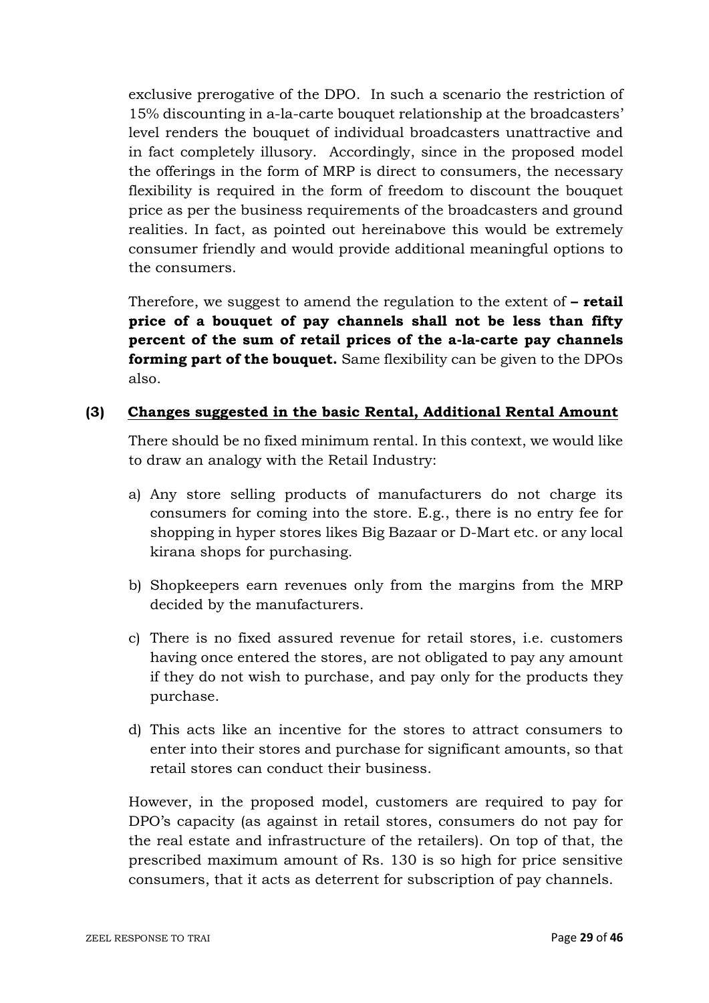exclusive prerogative of the DPO. In such a scenario the restriction of 15% discounting in a-la-carte bouquet relationship at the broadcasters' level renders the bouquet of individual broadcasters unattractive and in fact completely illusory. Accordingly, since in the proposed model the offerings in the form of MRP is direct to consumers, the necessary flexibility is required in the form of freedom to discount the bouquet price as per the business requirements of the broadcasters and ground realities. In fact, as pointed out hereinabove this would be extremely consumer friendly and would provide additional meaningful options to the consumers.

Therefore, we suggest to amend the regulation to the extent of **– retail price of a bouquet of pay channels shall not be less than fifty percent of the sum of retail prices of the a-la-carte pay channels forming part of the bouquet.** Same flexibility can be given to the DPOs also.

### **(3) Changes suggested in the basic Rental, Additional Rental Amount**

There should be no fixed minimum rental. In this context, we would like to draw an analogy with the Retail Industry:

- a) Any store selling products of manufacturers do not charge its consumers for coming into the store. E.g., there is no entry fee for shopping in hyper stores likes Big Bazaar or D-Mart etc. or any local kirana shops for purchasing.
- b) Shopkeepers earn revenues only from the margins from the MRP decided by the manufacturers.
- c) There is no fixed assured revenue for retail stores, i.e. customers having once entered the stores, are not obligated to pay any amount if they do not wish to purchase, and pay only for the products they purchase.
- d) This acts like an incentive for the stores to attract consumers to enter into their stores and purchase for significant amounts, so that retail stores can conduct their business.

However, in the proposed model, customers are required to pay for DPO's capacity (as against in retail stores, consumers do not pay for the real estate and infrastructure of the retailers). On top of that, the prescribed maximum amount of Rs. 130 is so high for price sensitive consumers, that it acts as deterrent for subscription of pay channels.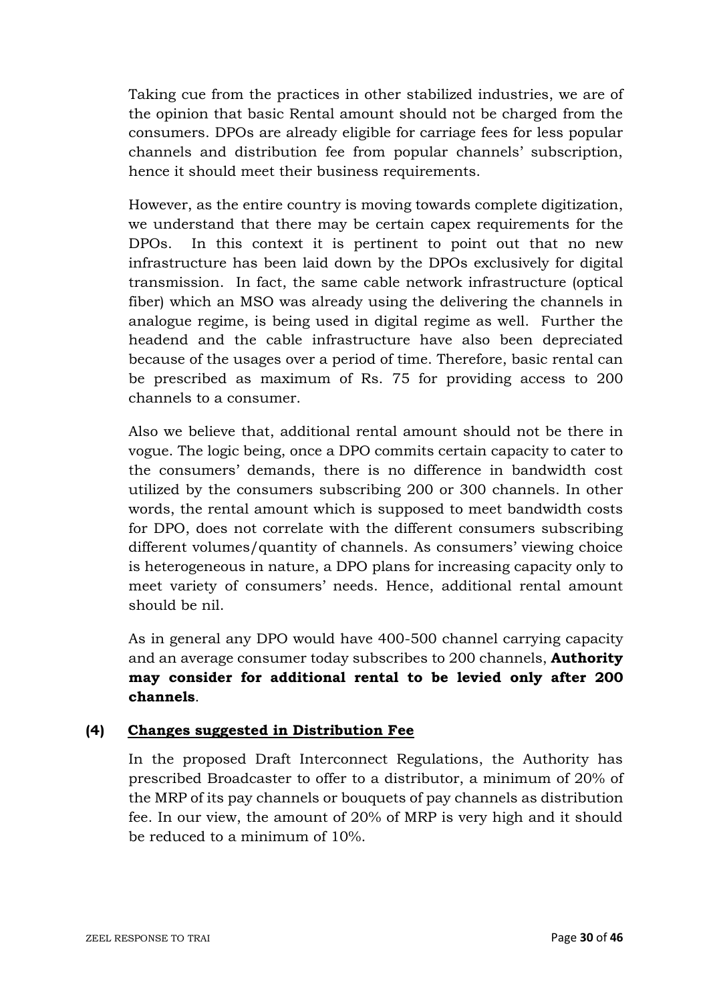Taking cue from the practices in other stabilized industries, we are of the opinion that basic Rental amount should not be charged from the consumers. DPOs are already eligible for carriage fees for less popular channels and distribution fee from popular channels' subscription, hence it should meet their business requirements.

However, as the entire country is moving towards complete digitization, we understand that there may be certain capex requirements for the DPOs. In this context it is pertinent to point out that no new infrastructure has been laid down by the DPOs exclusively for digital transmission. In fact, the same cable network infrastructure (optical fiber) which an MSO was already using the delivering the channels in analogue regime, is being used in digital regime as well. Further the headend and the cable infrastructure have also been depreciated because of the usages over a period of time. Therefore, basic rental can be prescribed as maximum of Rs. 75 for providing access to 200 channels to a consumer.

Also we believe that, additional rental amount should not be there in vogue. The logic being, once a DPO commits certain capacity to cater to the consumers' demands, there is no difference in bandwidth cost utilized by the consumers subscribing 200 or 300 channels. In other words, the rental amount which is supposed to meet bandwidth costs for DPO, does not correlate with the different consumers subscribing different volumes/quantity of channels. As consumers' viewing choice is heterogeneous in nature, a DPO plans for increasing capacity only to meet variety of consumers' needs. Hence, additional rental amount should be nil.

As in general any DPO would have 400-500 channel carrying capacity and an average consumer today subscribes to 200 channels, **Authority may consider for additional rental to be levied only after 200 channels**.

## **(4) Changes suggested in Distribution Fee**

In the proposed Draft Interconnect Regulations, the Authority has prescribed Broadcaster to offer to a distributor, a minimum of 20% of the MRP of its pay channels or bouquets of pay channels as distribution fee. In our view, the amount of 20% of MRP is very high and it should be reduced to a minimum of 10%.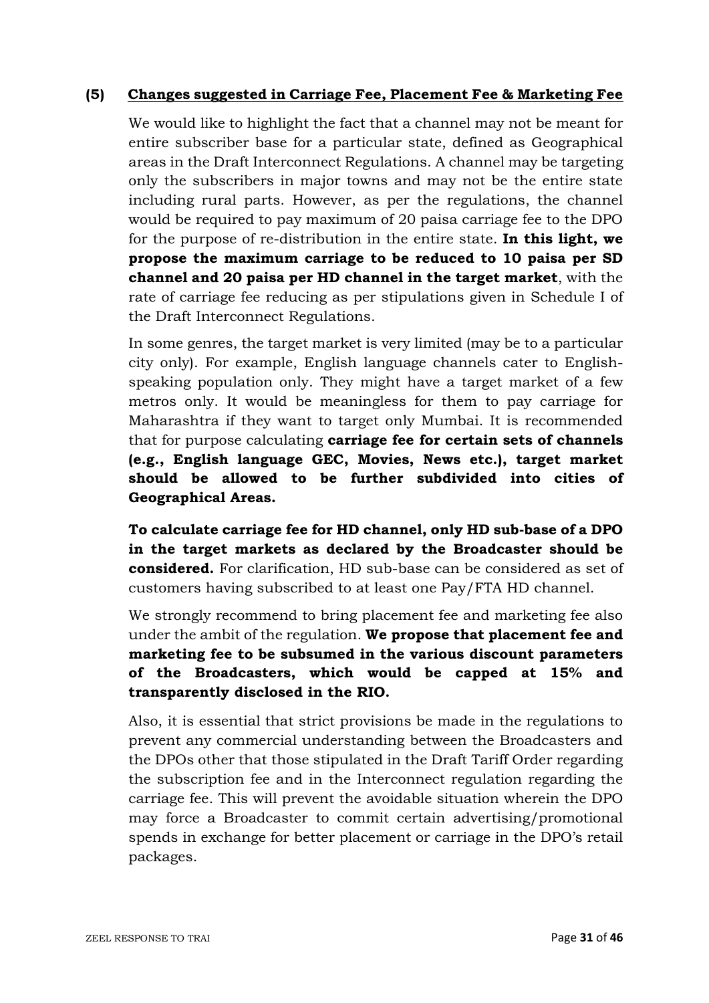### **(5) Changes suggested in Carriage Fee, Placement Fee & Marketing Fee**

We would like to highlight the fact that a channel may not be meant for entire subscriber base for a particular state, defined as Geographical areas in the Draft Interconnect Regulations. A channel may be targeting only the subscribers in major towns and may not be the entire state including rural parts. However, as per the regulations, the channel would be required to pay maximum of 20 paisa carriage fee to the DPO for the purpose of re-distribution in the entire state. **In this light, we propose the maximum carriage to be reduced to 10 paisa per SD channel and 20 paisa per HD channel in the target market**, with the rate of carriage fee reducing as per stipulations given in Schedule I of the Draft Interconnect Regulations.

In some genres, the target market is very limited (may be to a particular city only). For example, English language channels cater to Englishspeaking population only. They might have a target market of a few metros only. It would be meaningless for them to pay carriage for Maharashtra if they want to target only Mumbai. It is recommended that for purpose calculating **carriage fee for certain sets of channels (e.g., English language GEC, Movies, News etc.), target market should be allowed to be further subdivided into cities of Geographical Areas.**

**To calculate carriage fee for HD channel, only HD sub-base of a DPO in the target markets as declared by the Broadcaster should be considered.** For clarification, HD sub-base can be considered as set of customers having subscribed to at least one Pay/FTA HD channel.

We strongly recommend to bring placement fee and marketing fee also under the ambit of the regulation. **We propose that placement fee and marketing fee to be subsumed in the various discount parameters of the Broadcasters, which would be capped at 15% and transparently disclosed in the RIO.**

Also, it is essential that strict provisions be made in the regulations to prevent any commercial understanding between the Broadcasters and the DPOs other that those stipulated in the Draft Tariff Order regarding the subscription fee and in the Interconnect regulation regarding the carriage fee. This will prevent the avoidable situation wherein the DPO may force a Broadcaster to commit certain advertising/promotional spends in exchange for better placement or carriage in the DPO's retail packages.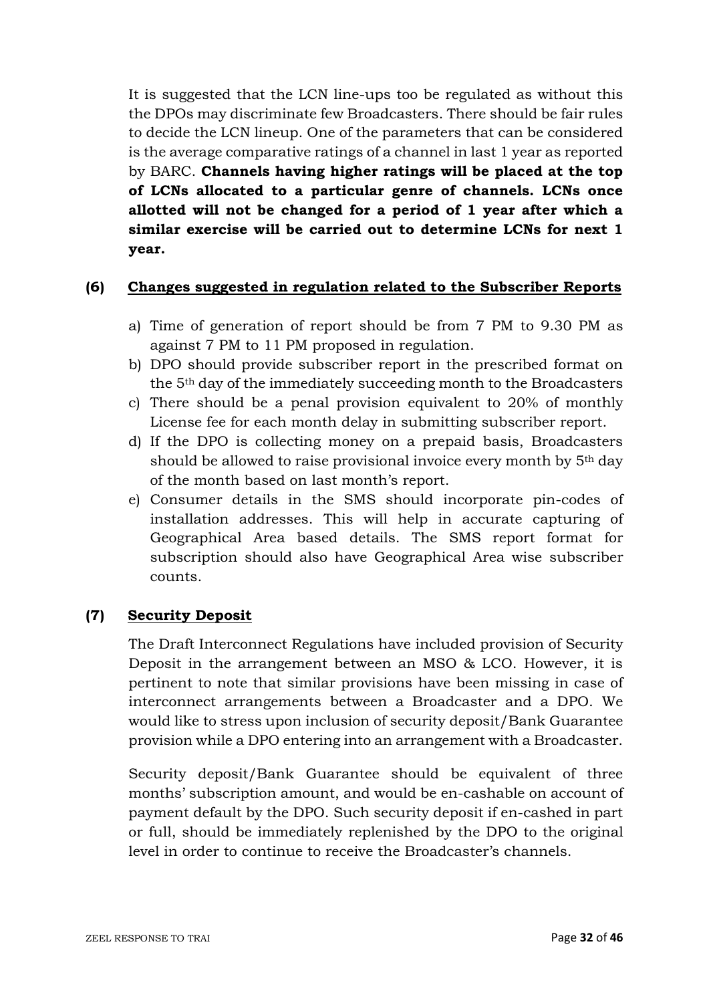It is suggested that the LCN line-ups too be regulated as without this the DPOs may discriminate few Broadcasters. There should be fair rules to decide the LCN lineup. One of the parameters that can be considered is the average comparative ratings of a channel in last 1 year as reported by BARC. **Channels having higher ratings will be placed at the top of LCNs allocated to a particular genre of channels. LCNs once allotted will not be changed for a period of 1 year after which a similar exercise will be carried out to determine LCNs for next 1 year.**

### **(6) Changes suggested in regulation related to the Subscriber Reports**

- a) Time of generation of report should be from 7 PM to 9.30 PM as against 7 PM to 11 PM proposed in regulation.
- b) DPO should provide subscriber report in the prescribed format on the 5th day of the immediately succeeding month to the Broadcasters
- c) There should be a penal provision equivalent to 20% of monthly License fee for each month delay in submitting subscriber report.
- d) If the DPO is collecting money on a prepaid basis, Broadcasters should be allowed to raise provisional invoice every month by  $5<sup>th</sup>$  day of the month based on last month's report.
- e) Consumer details in the SMS should incorporate pin-codes of installation addresses. This will help in accurate capturing of Geographical Area based details. The SMS report format for subscription should also have Geographical Area wise subscriber counts.

### **(7) Security Deposit**

The Draft Interconnect Regulations have included provision of Security Deposit in the arrangement between an MSO & LCO. However, it is pertinent to note that similar provisions have been missing in case of interconnect arrangements between a Broadcaster and a DPO. We would like to stress upon inclusion of security deposit/Bank Guarantee provision while a DPO entering into an arrangement with a Broadcaster.

Security deposit/Bank Guarantee should be equivalent of three months' subscription amount, and would be en-cashable on account of payment default by the DPO. Such security deposit if en-cashed in part or full, should be immediately replenished by the DPO to the original level in order to continue to receive the Broadcaster's channels.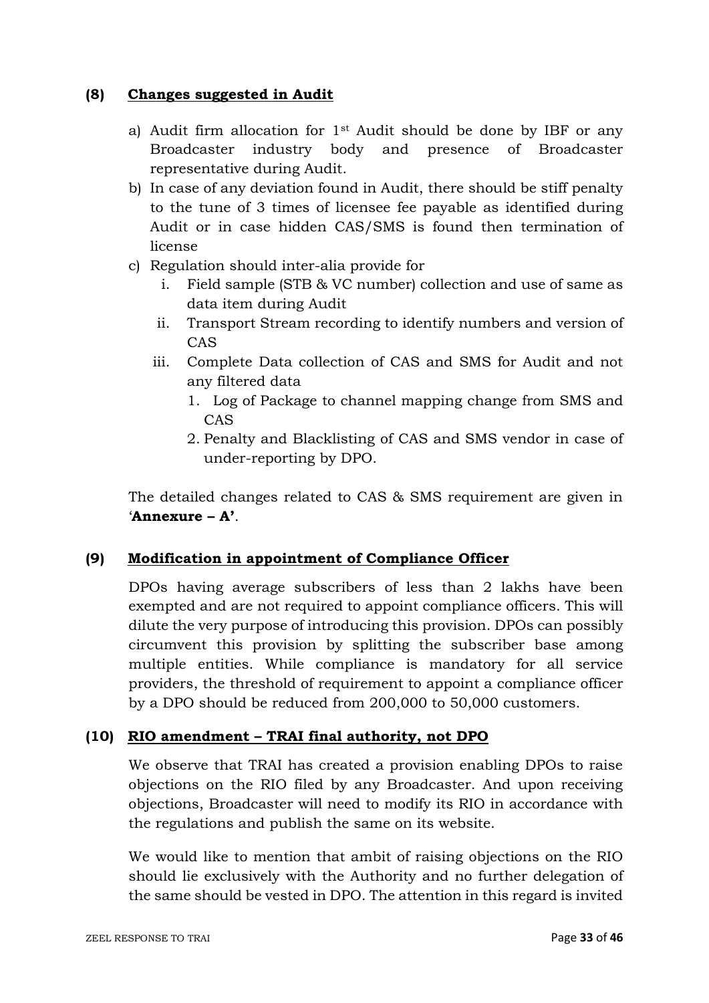### **(8) Changes suggested in Audit**

- a) Audit firm allocation for 1st Audit should be done by IBF or any Broadcaster industry body and presence of Broadcaster representative during Audit.
- b) In case of any deviation found in Audit, there should be stiff penalty to the tune of 3 times of licensee fee payable as identified during Audit or in case hidden CAS/SMS is found then termination of license
- c) Regulation should inter-alia provide for
	- i. Field sample (STB & VC number) collection and use of same as data item during Audit
	- ii. Transport Stream recording to identify numbers and version of CAS
	- iii. Complete Data collection of CAS and SMS for Audit and not any filtered data
		- 1. Log of Package to channel mapping change from SMS and CAS
		- 2. Penalty and Blacklisting of CAS and SMS vendor in case of under-reporting by DPO.

The detailed changes related to CAS & SMS requirement are given in '**Annexure – A'**.

## **(9) Modification in appointment of Compliance Officer**

DPOs having average subscribers of less than 2 lakhs have been exempted and are not required to appoint compliance officers. This will dilute the very purpose of introducing this provision. DPOs can possibly circumvent this provision by splitting the subscriber base among multiple entities. While compliance is mandatory for all service providers, the threshold of requirement to appoint a compliance officer by a DPO should be reduced from 200,000 to 50,000 customers.

### **(10) RIO amendment – TRAI final authority, not DPO**

We observe that TRAI has created a provision enabling DPOs to raise objections on the RIO filed by any Broadcaster. And upon receiving objections, Broadcaster will need to modify its RIO in accordance with the regulations and publish the same on its website.

We would like to mention that ambit of raising objections on the RIO should lie exclusively with the Authority and no further delegation of the same should be vested in DPO. The attention in this regard is invited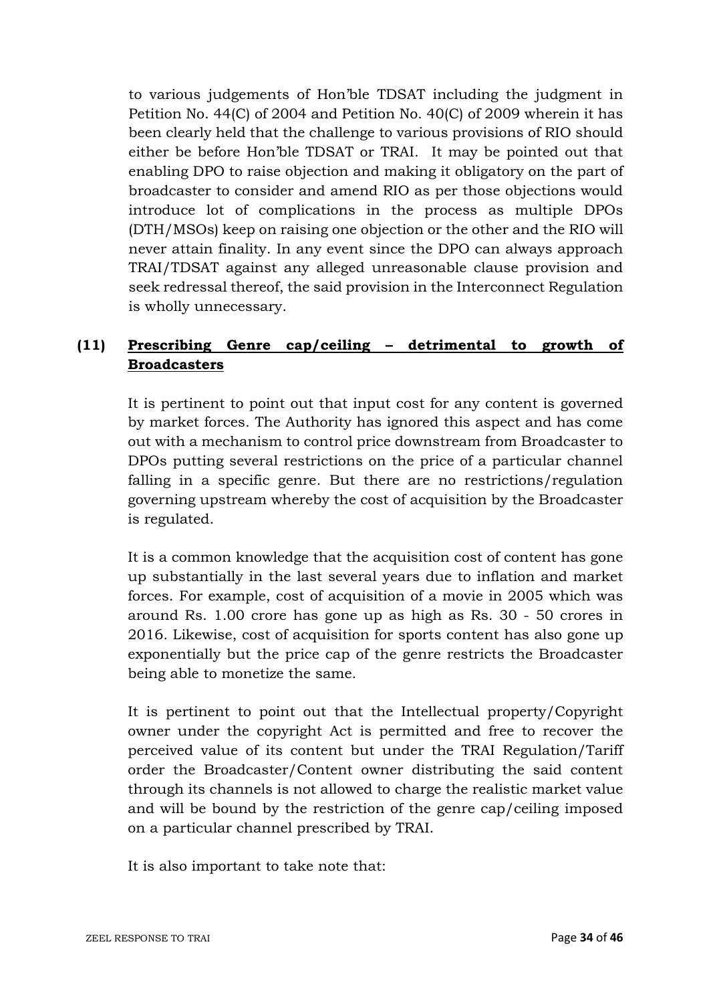to various judgements of Hon'ble TDSAT including the judgment in Petition No. 44(C) of 2004 and Petition No. 40(C) of 2009 wherein it has been clearly held that the challenge to various provisions of RIO should either be before Hon'ble TDSAT or TRAI. It may be pointed out that enabling DPO to raise objection and making it obligatory on the part of broadcaster to consider and amend RIO as per those objections would introduce lot of complications in the process as multiple DPOs (DTH/MSOs) keep on raising one objection or the other and the RIO will never attain finality. In any event since the DPO can always approach TRAI/TDSAT against any alleged unreasonable clause provision and seek redressal thereof, the said provision in the Interconnect Regulation is wholly unnecessary.

# **(11) Prescribing Genre cap/ceiling – detrimental to growth of Broadcasters**

It is pertinent to point out that input cost for any content is governed by market forces. The Authority has ignored this aspect and has come out with a mechanism to control price downstream from Broadcaster to DPOs putting several restrictions on the price of a particular channel falling in a specific genre. But there are no restrictions/regulation governing upstream whereby the cost of acquisition by the Broadcaster is regulated.

It is a common knowledge that the acquisition cost of content has gone up substantially in the last several years due to inflation and market forces. For example, cost of acquisition of a movie in 2005 which was around Rs. 1.00 crore has gone up as high as Rs. 30 - 50 crores in 2016. Likewise, cost of acquisition for sports content has also gone up exponentially but the price cap of the genre restricts the Broadcaster being able to monetize the same.

It is pertinent to point out that the Intellectual property/Copyright owner under the copyright Act is permitted and free to recover the perceived value of its content but under the TRAI Regulation/Tariff order the Broadcaster/Content owner distributing the said content through its channels is not allowed to charge the realistic market value and will be bound by the restriction of the genre cap/ceiling imposed on a particular channel prescribed by TRAI.

It is also important to take note that: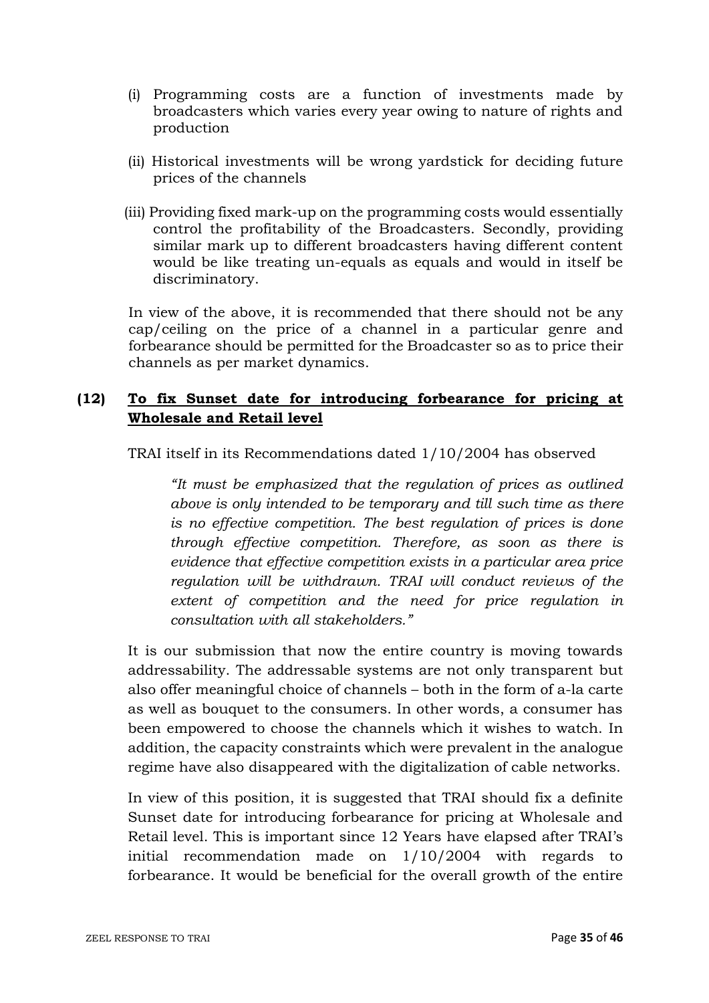- (i) Programming costs are a function of investments made by broadcasters which varies every year owing to nature of rights and production
- (ii) Historical investments will be wrong yardstick for deciding future prices of the channels
- (iii) Providing fixed mark-up on the programming costs would essentially control the profitability of the Broadcasters. Secondly, providing similar mark up to different broadcasters having different content would be like treating un-equals as equals and would in itself be discriminatory.

In view of the above, it is recommended that there should not be any cap/ceiling on the price of a channel in a particular genre and forbearance should be permitted for the Broadcaster so as to price their channels as per market dynamics.

## **(12) To fix Sunset date for introducing forbearance for pricing at Wholesale and Retail level**

TRAI itself in its Recommendations dated 1/10/2004 has observed

*"It must be emphasized that the regulation of prices as outlined above is only intended to be temporary and till such time as there is no effective competition. The best regulation of prices is done through effective competition. Therefore, as soon as there is evidence that effective competition exists in a particular area price regulation will be withdrawn. TRAI will conduct reviews of the extent of competition and the need for price regulation in consultation with all stakeholders."* 

It is our submission that now the entire country is moving towards addressability. The addressable systems are not only transparent but also offer meaningful choice of channels – both in the form of a-la carte as well as bouquet to the consumers. In other words, a consumer has been empowered to choose the channels which it wishes to watch. In addition, the capacity constraints which were prevalent in the analogue regime have also disappeared with the digitalization of cable networks.

In view of this position, it is suggested that TRAI should fix a definite Sunset date for introducing forbearance for pricing at Wholesale and Retail level. This is important since 12 Years have elapsed after TRAI's initial recommendation made on 1/10/2004 with regards to forbearance. It would be beneficial for the overall growth of the entire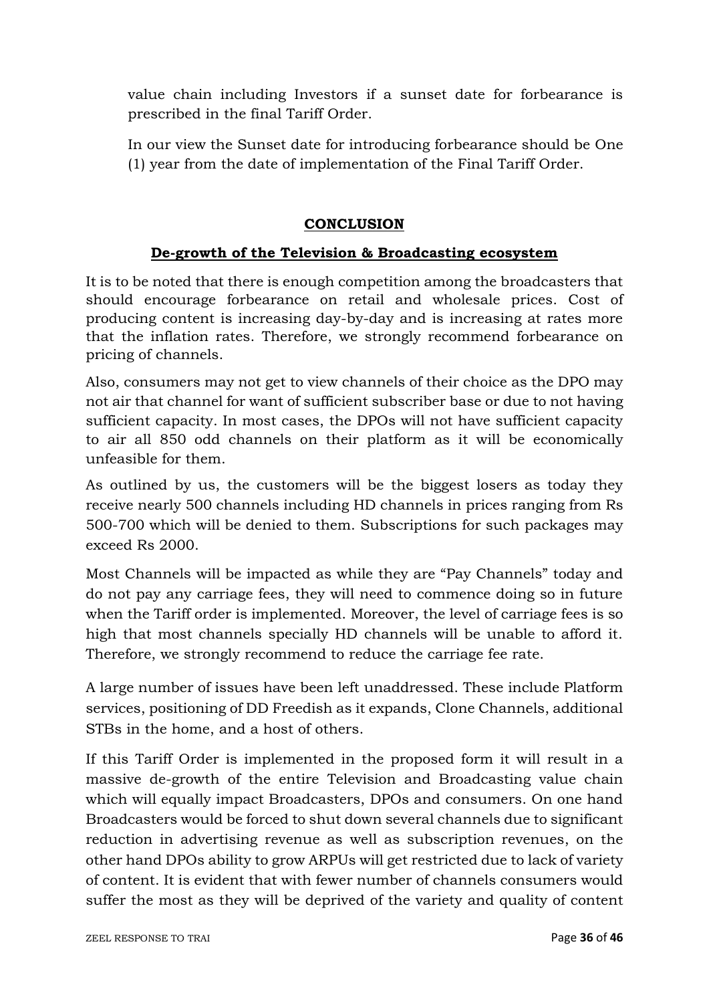value chain including Investors if a sunset date for forbearance is prescribed in the final Tariff Order.

In our view the Sunset date for introducing forbearance should be One (1) year from the date of implementation of the Final Tariff Order.

## **CONCLUSION**

### **De-growth of the Television & Broadcasting ecosystem**

It is to be noted that there is enough competition among the broadcasters that should encourage forbearance on retail and wholesale prices. Cost of producing content is increasing day-by-day and is increasing at rates more that the inflation rates. Therefore, we strongly recommend forbearance on pricing of channels.

Also, consumers may not get to view channels of their choice as the DPO may not air that channel for want of sufficient subscriber base or due to not having sufficient capacity. In most cases, the DPOs will not have sufficient capacity to air all 850 odd channels on their platform as it will be economically unfeasible for them.

As outlined by us, the customers will be the biggest losers as today they receive nearly 500 channels including HD channels in prices ranging from Rs 500-700 which will be denied to them. Subscriptions for such packages may exceed Rs 2000.

Most Channels will be impacted as while they are "Pay Channels" today and do not pay any carriage fees, they will need to commence doing so in future when the Tariff order is implemented. Moreover, the level of carriage fees is so high that most channels specially HD channels will be unable to afford it. Therefore, we strongly recommend to reduce the carriage fee rate.

A large number of issues have been left unaddressed. These include Platform services, positioning of DD Freedish as it expands, Clone Channels, additional STBs in the home, and a host of others.

If this Tariff Order is implemented in the proposed form it will result in a massive de-growth of the entire Television and Broadcasting value chain which will equally impact Broadcasters, DPOs and consumers. On one hand Broadcasters would be forced to shut down several channels due to significant reduction in advertising revenue as well as subscription revenues, on the other hand DPOs ability to grow ARPUs will get restricted due to lack of variety of content. It is evident that with fewer number of channels consumers would suffer the most as they will be deprived of the variety and quality of content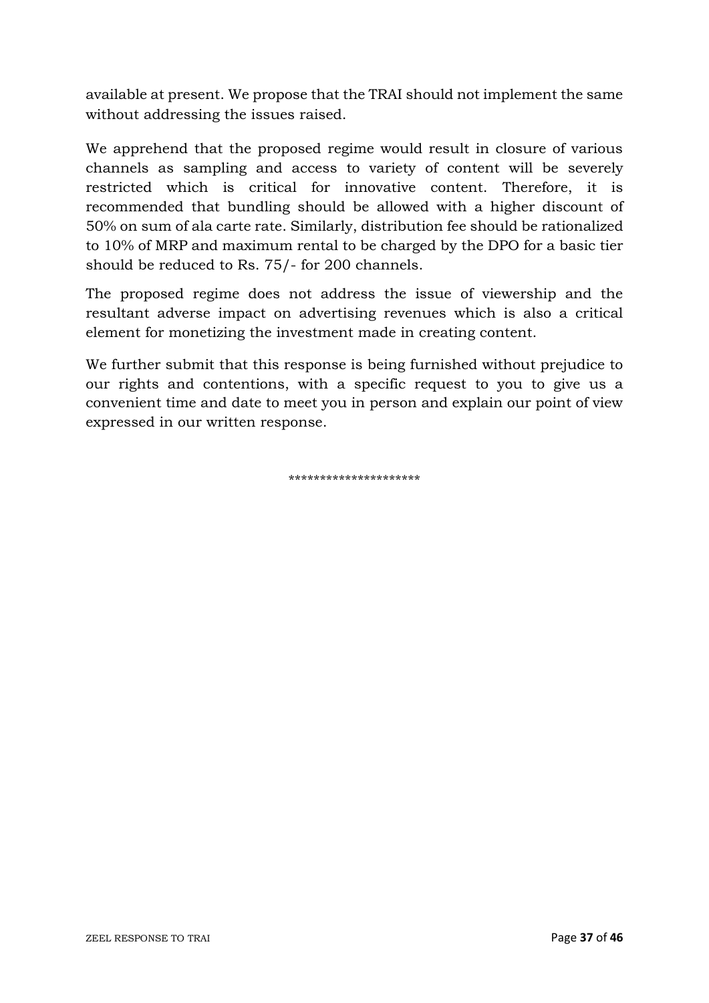available at present. We propose that the TRAI should not implement the same without addressing the issues raised.

We apprehend that the proposed regime would result in closure of various channels as sampling and access to variety of content will be severely restricted which is critical for innovative content. Therefore, it is recommended that bundling should be allowed with a higher discount of 50% on sum of ala carte rate. Similarly, distribution fee should be rationalized to 10% of MRP and maximum rental to be charged by the DPO for a basic tier should be reduced to Rs. 75/- for 200 channels.

The proposed regime does not address the issue of viewership and the resultant adverse impact on advertising revenues which is also a critical element for monetizing the investment made in creating content.

We further submit that this response is being furnished without prejudice to our rights and contentions, with a specific request to you to give us a convenient time and date to meet you in person and explain our point of view expressed in our written response.

\*\*\*\*\*\*\*\*\*\*\*\*\*\*\*\*\*\*\*\*\*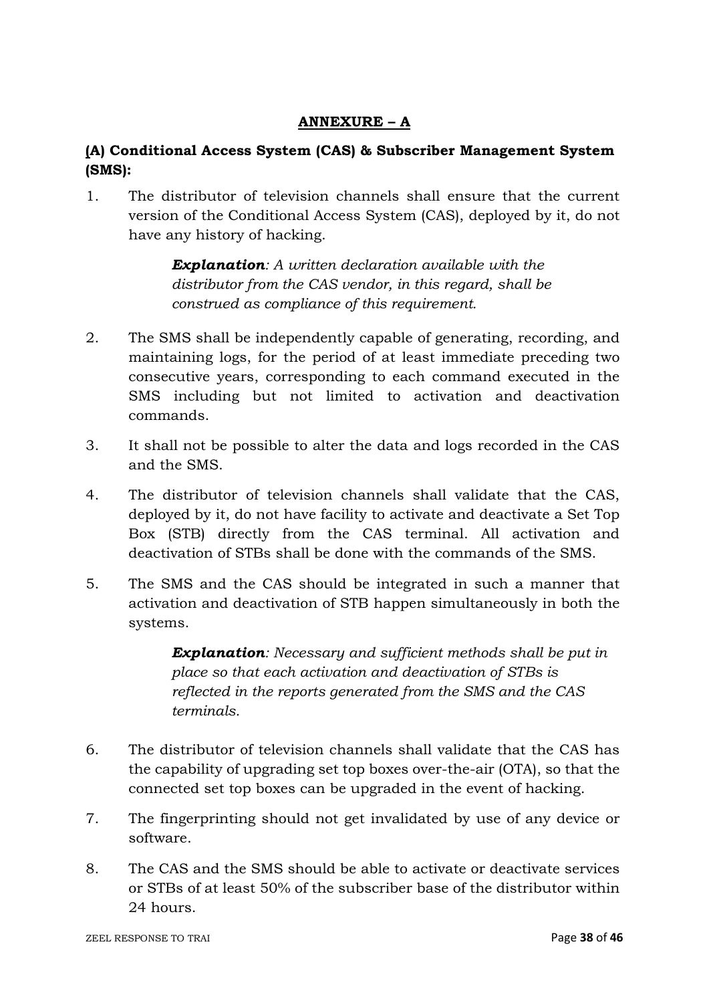## **ANNEXURE – A**

# **(A) Conditional Access System (CAS) & Subscriber Management System (SMS):**

1. The distributor of television channels shall ensure that the current version of the Conditional Access System (CAS), deployed by it, do not have any history of hacking.

> *Explanation: A written declaration available with the distributor from the CAS vendor, in this regard, shall be construed as compliance of this requirement.*

- 2. The SMS shall be independently capable of generating, recording, and maintaining logs, for the period of at least immediate preceding two consecutive years, corresponding to each command executed in the SMS including but not limited to activation and deactivation commands.
- 3. It shall not be possible to alter the data and logs recorded in the CAS and the SMS.
- 4. The distributor of television channels shall validate that the CAS, deployed by it, do not have facility to activate and deactivate a Set Top Box (STB) directly from the CAS terminal. All activation and deactivation of STBs shall be done with the commands of the SMS.
- 5. The SMS and the CAS should be integrated in such a manner that activation and deactivation of STB happen simultaneously in both the systems.

*Explanation: Necessary and sufficient methods shall be put in place so that each activation and deactivation of STBs is reflected in the reports generated from the SMS and the CAS terminals.* 

- 6. The distributor of television channels shall validate that the CAS has the capability of upgrading set top boxes over-the-air (OTA), so that the connected set top boxes can be upgraded in the event of hacking.
- 7. The fingerprinting should not get invalidated by use of any device or software.
- 8. The CAS and the SMS should be able to activate or deactivate services or STBs of at least 50% of the subscriber base of the distributor within 24 hours.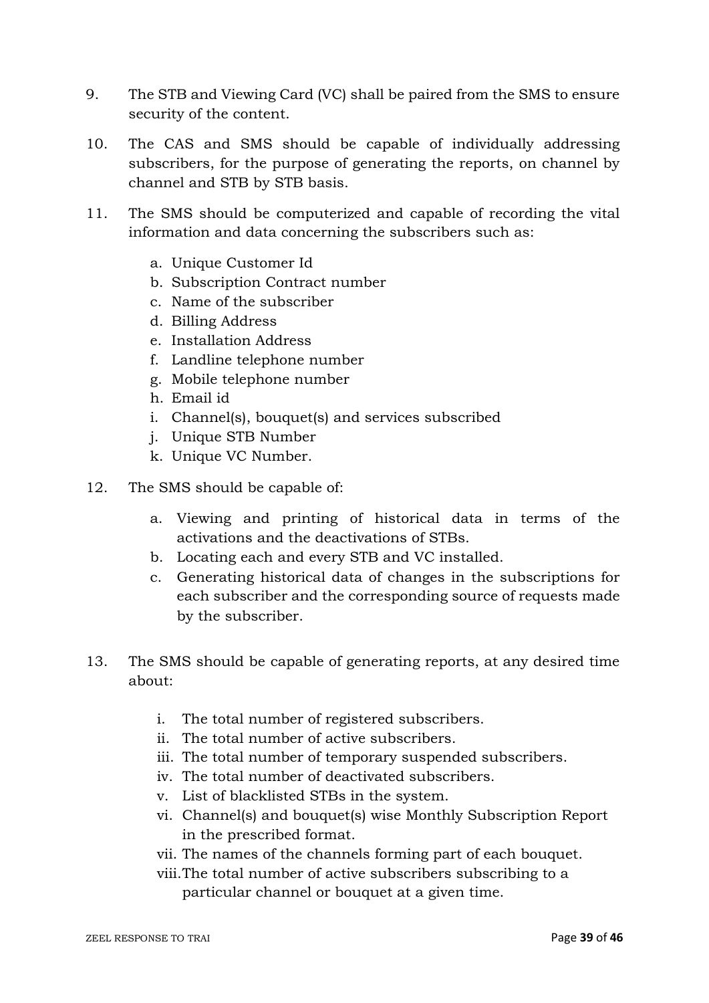- 9. The STB and Viewing Card (VC) shall be paired from the SMS to ensure security of the content.
- 10. The CAS and SMS should be capable of individually addressing subscribers, for the purpose of generating the reports, on channel by channel and STB by STB basis.
- 11. The SMS should be computerized and capable of recording the vital information and data concerning the subscribers such as:
	- a. Unique Customer Id
	- b. Subscription Contract number
	- c. Name of the subscriber
	- d. Billing Address
	- e. Installation Address
	- f. Landline telephone number
	- g. Mobile telephone number
	- h. Email id
	- i. Channel(s), bouquet(s) and services subscribed
	- j. Unique STB Number
	- k. Unique VC Number.
- 12. The SMS should be capable of:
	- a. Viewing and printing of historical data in terms of the activations and the deactivations of STBs.
	- b. Locating each and every STB and VC installed.
	- c. Generating historical data of changes in the subscriptions for each subscriber and the corresponding source of requests made by the subscriber.
- 13. The SMS should be capable of generating reports, at any desired time about:
	- i. The total number of registered subscribers.
	- ii. The total number of active subscribers.
	- iii. The total number of temporary suspended subscribers.
	- iv. The total number of deactivated subscribers.
	- v. List of blacklisted STBs in the system.
	- vi. Channel(s) and bouquet(s) wise Monthly Subscription Report in the prescribed format.
	- vii. The names of the channels forming part of each bouquet.
	- viii.The total number of active subscribers subscribing to a particular channel or bouquet at a given time.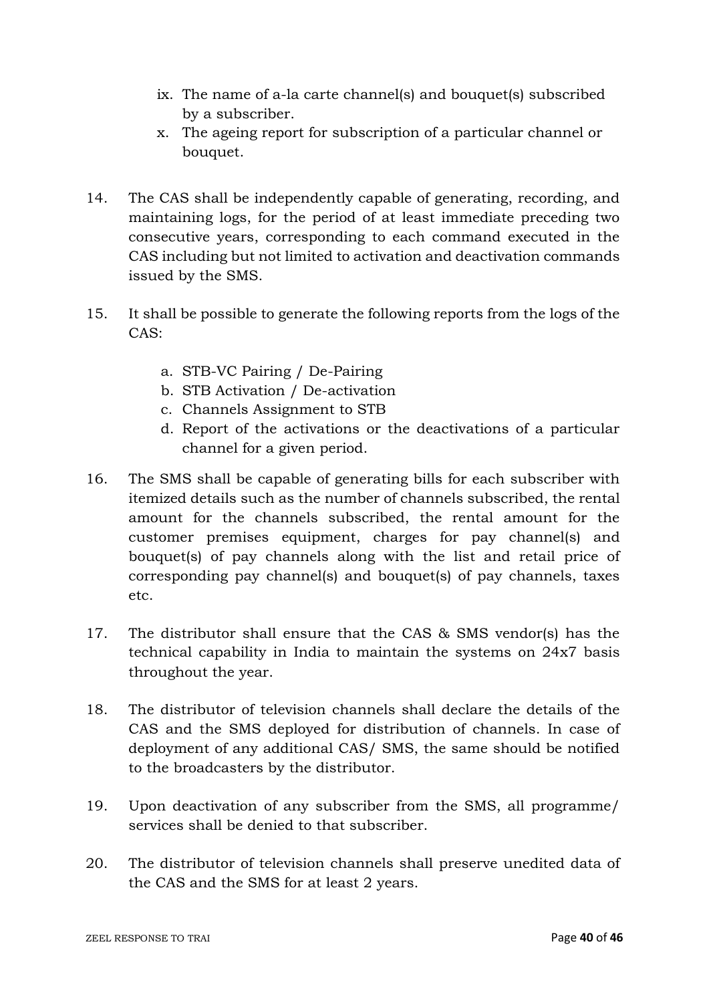- ix. The name of a-la carte channel(s) and bouquet(s) subscribed by a subscriber.
- x. The ageing report for subscription of a particular channel or bouquet.
- 14. The CAS shall be independently capable of generating, recording, and maintaining logs, for the period of at least immediate preceding two consecutive years, corresponding to each command executed in the CAS including but not limited to activation and deactivation commands issued by the SMS.
- 15. It shall be possible to generate the following reports from the logs of the CAS:
	- a. STB-VC Pairing / De-Pairing
	- b. STB Activation / De-activation
	- c. Channels Assignment to STB
	- d. Report of the activations or the deactivations of a particular channel for a given period.
- 16. The SMS shall be capable of generating bills for each subscriber with itemized details such as the number of channels subscribed, the rental amount for the channels subscribed, the rental amount for the customer premises equipment, charges for pay channel(s) and bouquet(s) of pay channels along with the list and retail price of corresponding pay channel(s) and bouquet(s) of pay channels, taxes etc.
- 17. The distributor shall ensure that the CAS & SMS vendor(s) has the technical capability in India to maintain the systems on 24x7 basis throughout the year.
- 18. The distributor of television channels shall declare the details of the CAS and the SMS deployed for distribution of channels. In case of deployment of any additional CAS/ SMS, the same should be notified to the broadcasters by the distributor.
- 19. Upon deactivation of any subscriber from the SMS, all programme/ services shall be denied to that subscriber.
- 20. The distributor of television channels shall preserve unedited data of the CAS and the SMS for at least 2 years.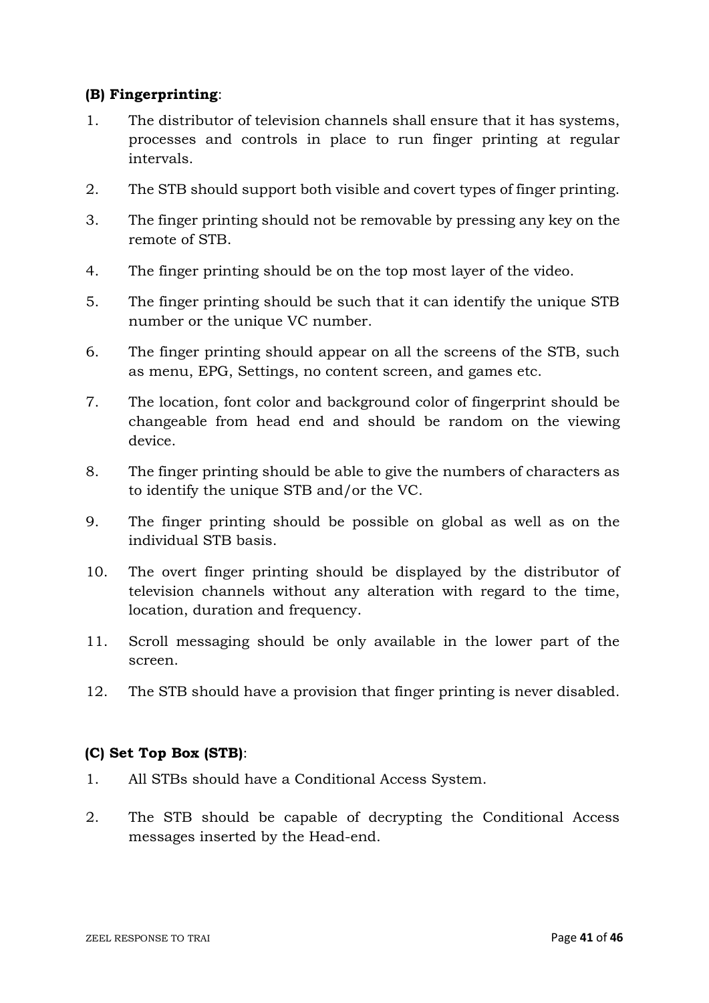### **(B) Fingerprinting**:

- 1. The distributor of television channels shall ensure that it has systems, processes and controls in place to run finger printing at regular intervals.
- 2. The STB should support both visible and covert types of finger printing.
- 3. The finger printing should not be removable by pressing any key on the remote of STB.
- 4. The finger printing should be on the top most layer of the video.
- 5. The finger printing should be such that it can identify the unique STB number or the unique VC number.
- 6. The finger printing should appear on all the screens of the STB, such as menu, EPG, Settings, no content screen, and games etc.
- 7. The location, font color and background color of fingerprint should be changeable from head end and should be random on the viewing device.
- 8. The finger printing should be able to give the numbers of characters as to identify the unique STB and/or the VC.
- 9. The finger printing should be possible on global as well as on the individual STB basis.
- 10. The overt finger printing should be displayed by the distributor of television channels without any alteration with regard to the time, location, duration and frequency.
- 11. Scroll messaging should be only available in the lower part of the screen.
- 12. The STB should have a provision that finger printing is never disabled.

## **(C) Set Top Box (STB)**:

- 1. All STBs should have a Conditional Access System.
- 2. The STB should be capable of decrypting the Conditional Access messages inserted by the Head-end.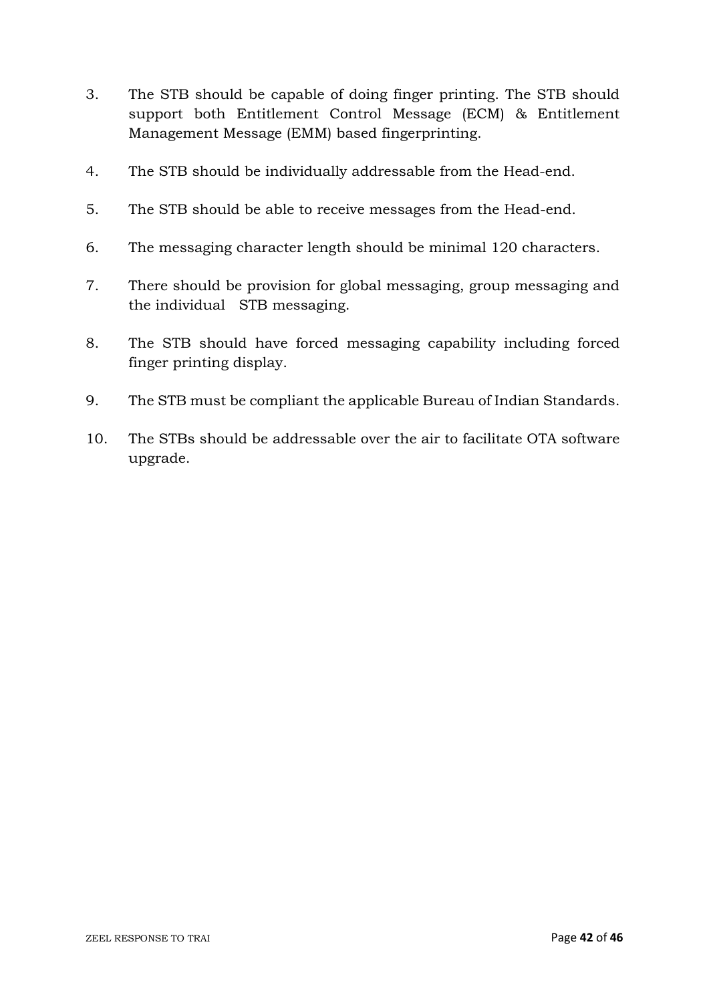- 3. The STB should be capable of doing finger printing. The STB should support both Entitlement Control Message (ECM) & Entitlement Management Message (EMM) based fingerprinting.
- 4. The STB should be individually addressable from the Head-end.
- 5. The STB should be able to receive messages from the Head-end.
- 6. The messaging character length should be minimal 120 characters.
- 7. There should be provision for global messaging, group messaging and the individual STB messaging.
- 8. The STB should have forced messaging capability including forced finger printing display.
- 9. The STB must be compliant the applicable Bureau of Indian Standards.
- 10. The STBs should be addressable over the air to facilitate OTA software upgrade.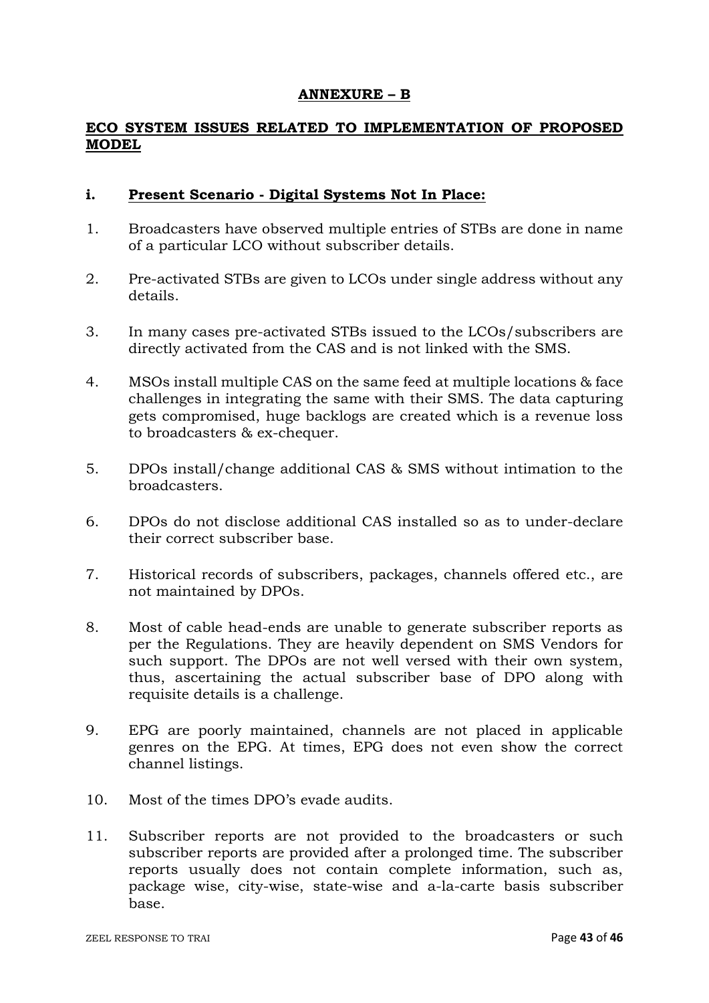#### **ANNEXURE – B**

### **ECO SYSTEM ISSUES RELATED TO IMPLEMENTATION OF PROPOSED MODEL**

#### **i. Present Scenario - Digital Systems Not In Place:**

- 1. Broadcasters have observed multiple entries of STBs are done in name of a particular LCO without subscriber details.
- 2. Pre-activated STBs are given to LCOs under single address without any details.
- 3. In many cases pre-activated STBs issued to the LCOs/subscribers are directly activated from the CAS and is not linked with the SMS.
- 4. MSOs install multiple CAS on the same feed at multiple locations & face challenges in integrating the same with their SMS. The data capturing gets compromised, huge backlogs are created which is a revenue loss to broadcasters & ex-chequer.
- 5. DPOs install/change additional CAS & SMS without intimation to the broadcasters.
- 6. DPOs do not disclose additional CAS installed so as to under-declare their correct subscriber base.
- 7. Historical records of subscribers, packages, channels offered etc., are not maintained by DPOs.
- 8. Most of cable head-ends are unable to generate subscriber reports as per the Regulations. They are heavily dependent on SMS Vendors for such support. The DPOs are not well versed with their own system, thus, ascertaining the actual subscriber base of DPO along with requisite details is a challenge.
- 9. EPG are poorly maintained, channels are not placed in applicable genres on the EPG. At times, EPG does not even show the correct channel listings.
- 10. Most of the times DPO's evade audits.
- 11. Subscriber reports are not provided to the broadcasters or such subscriber reports are provided after a prolonged time. The subscriber reports usually does not contain complete information, such as, package wise, city-wise, state-wise and a-la-carte basis subscriber base.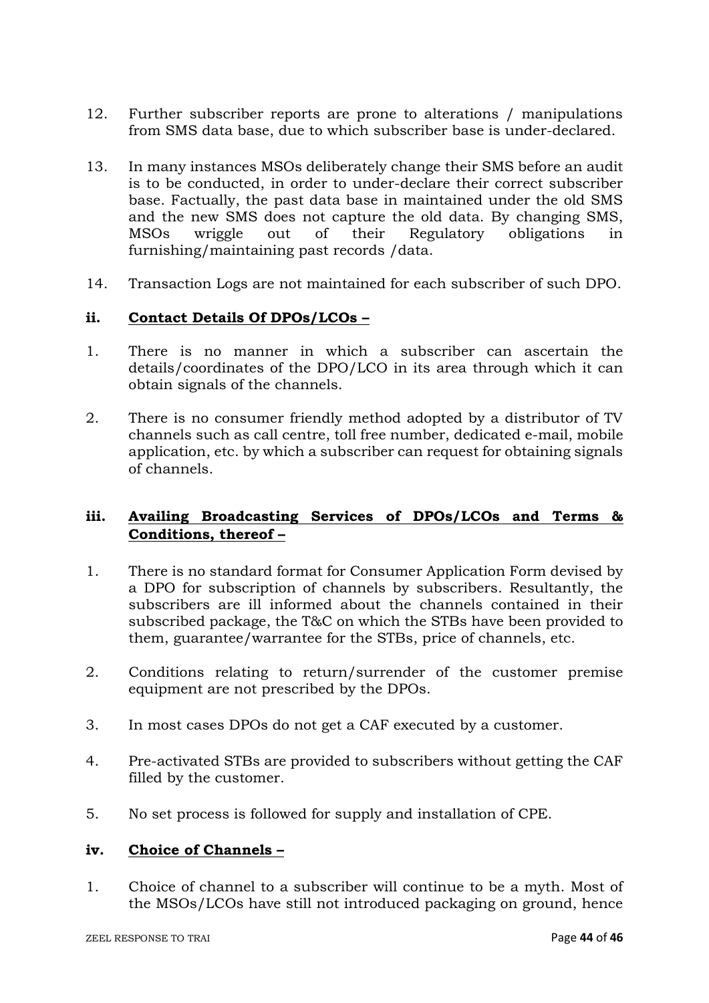- 12. Further subscriber reports are prone to alterations / manipulations from SMS data base, due to which subscriber base is under-declared.
- 13. In many instances MSOs deliberately change their SMS before an audit is to be conducted, in order to under-declare their correct subscriber base. Factually, the past data base in maintained under the old SMS and the new SMS does not capture the old data. By changing SMS, MSOs wriggle out of their Regulatory obligations in furnishing/maintaining past records /data.
- 14. Transaction Logs are not maintained for each subscriber of such DPO.

#### **ii. Contact Details Of DPOs/LCOs –**

- 1. There is no manner in which a subscriber can ascertain the details/coordinates of the DPO/LCO in its area through which it can obtain signals of the channels.
- 2. There is no consumer friendly method adopted by a distributor of TV channels such as call centre, toll free number, dedicated e-mail, mobile application, etc. by which a subscriber can request for obtaining signals of channels.

### **iii. Availing Broadcasting Services of DPOs/LCOs and Terms & Conditions, thereof –**

- 1. There is no standard format for Consumer Application Form devised by a DPO for subscription of channels by subscribers. Resultantly, the subscribers are ill informed about the channels contained in their subscribed package, the T&C on which the STBs have been provided to them, guarantee/warrantee for the STBs, price of channels, etc.
- 2. Conditions relating to return/surrender of the customer premise equipment are not prescribed by the DPOs.
- 3. In most cases DPOs do not get a CAF executed by a customer.
- 4. Pre-activated STBs are provided to subscribers without getting the CAF filled by the customer.
- 5. No set process is followed for supply and installation of CPE.

#### **iv. Choice of Channels –**

1. Choice of channel to a subscriber will continue to be a myth. Most of the MSOs/LCOs have still not introduced packaging on ground, hence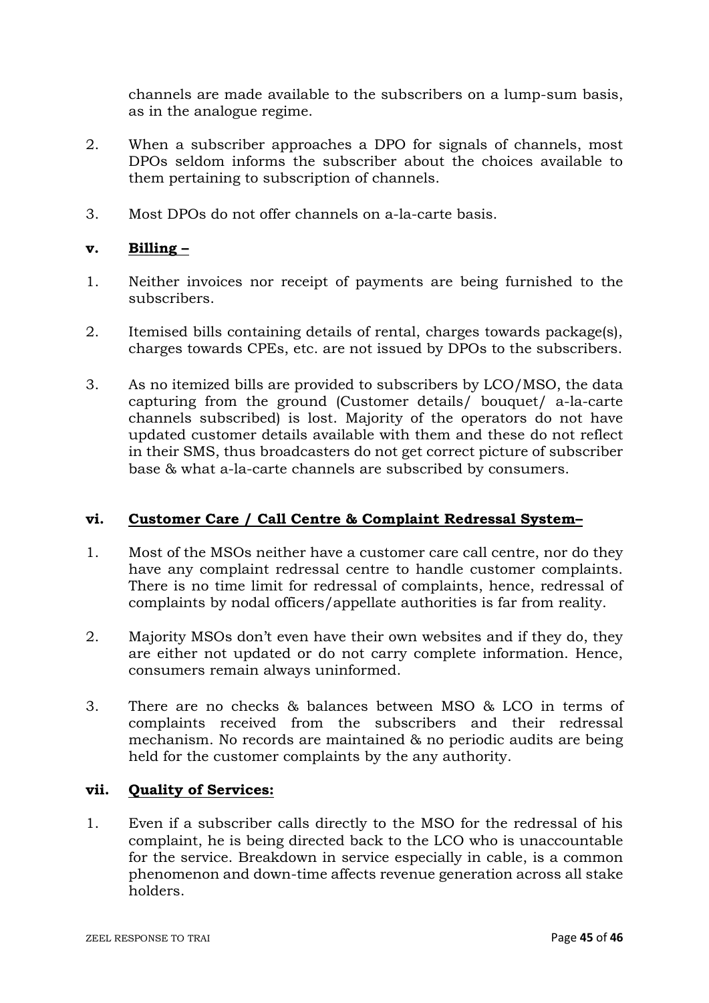channels are made available to the subscribers on a lump-sum basis, as in the analogue regime.

- 2. When a subscriber approaches a DPO for signals of channels, most DPOs seldom informs the subscriber about the choices available to them pertaining to subscription of channels.
- 3. Most DPOs do not offer channels on a-la-carte basis.

### **v. Billing –**

- 1. Neither invoices nor receipt of payments are being furnished to the subscribers.
- 2. Itemised bills containing details of rental, charges towards package(s), charges towards CPEs, etc. are not issued by DPOs to the subscribers.
- 3. As no itemized bills are provided to subscribers by LCO/MSO, the data capturing from the ground (Customer details/ bouquet/ a-la-carte channels subscribed) is lost. Majority of the operators do not have updated customer details available with them and these do not reflect in their SMS, thus broadcasters do not get correct picture of subscriber base & what a-la-carte channels are subscribed by consumers.

### **vi. Customer Care / Call Centre & Complaint Redressal System–**

- 1. Most of the MSOs neither have a customer care call centre, nor do they have any complaint redressal centre to handle customer complaints. There is no time limit for redressal of complaints, hence, redressal of complaints by nodal officers/appellate authorities is far from reality.
- 2. Majority MSOs don't even have their own websites and if they do, they are either not updated or do not carry complete information. Hence, consumers remain always uninformed.
- 3. There are no checks & balances between MSO & LCO in terms of complaints received from the subscribers and their redressal mechanism. No records are maintained & no periodic audits are being held for the customer complaints by the any authority.

### **vii. Quality of Services:**

1. Even if a subscriber calls directly to the MSO for the redressal of his complaint, he is being directed back to the LCO who is unaccountable for the service. Breakdown in service especially in cable, is a common phenomenon and down-time affects revenue generation across all stake holders.